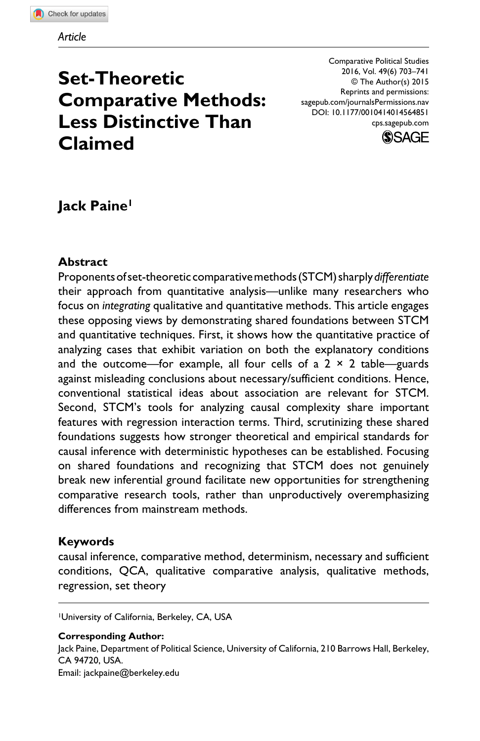# **Set-Theoretic Comparative Methods: Less Distinctive Than Claimed**

Comparative Political Studies 2016, Vol. 49(6) 703–741 © The Author(s) 2015 Reprints and permissions: sagepub.com/journalsPermissions.nav DOI: 10.1177/0010414014564851 cps.sagepub.com



# **Jack Paine1**

### **Abstract**

Proponents of set-theoretic comparative methods (STCM) sharply *differentiate* their approach from quantitative analysis—unlike many researchers who focus on *integrating* qualitative and quantitative methods. This article engages these opposing views by demonstrating shared foundations between STCM and quantitative techniques. First, it shows how the quantitative practice of analyzing cases that exhibit variation on both the explanatory conditions and the outcome—for example, all four cells of a  $2 \times 2$  table—guards against misleading conclusions about necessary/sufficient conditions. Hence, conventional statistical ideas about association are relevant for STCM. Second, STCM's tools for analyzing causal complexity share important features with regression interaction terms. Third, scrutinizing these shared foundations suggests how stronger theoretical and empirical standards for causal inference with deterministic hypotheses can be established. Focusing on shared foundations and recognizing that STCM does not genuinely break new inferential ground facilitate new opportunities for strengthening comparative research tools, rather than unproductively overemphasizing differences from mainstream methods.

### **Keywords**

causal inference, comparative method, determinism, necessary and sufficient conditions, QCA, qualitative comparative analysis, qualitative methods, regression, set theory

1University of California, Berkeley, CA, USA

**Corresponding Author:** Jack Paine, Department of Political Science, University of California, 210 Barrows Hall, Berkeley, CA 94720, USA. Email: [jackpaine@berkeley.edu](mailto:jackpaine@berkeley.edu)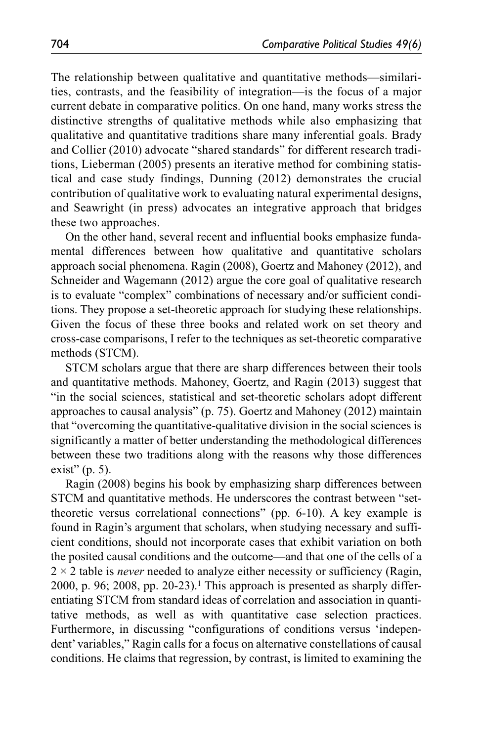The relationship between qualitative and quantitative methods—similarities, contrasts, and the feasibility of integration—is the focus of a major current debate in comparative politics. On one hand, many works stress the distinctive strengths of qualitative methods while also emphasizing that qualitative and quantitative traditions share many inferential goals. Brady and Collier (2010) advocate "shared standards" for different research traditions, Lieberman (2005) presents an iterative method for combining statistical and case study findings, Dunning (2012) demonstrates the crucial contribution of qualitative work to evaluating natural experimental designs, and Seawright (in press) advocates an integrative approach that bridges these two approaches.

On the other hand, several recent and influential books emphasize fundamental differences between how qualitative and quantitative scholars approach social phenomena. Ragin (2008), Goertz and Mahoney (2012), and Schneider and Wagemann (2012) argue the core goal of qualitative research is to evaluate "complex" combinations of necessary and/or sufficient conditions. They propose a set-theoretic approach for studying these relationships. Given the focus of these three books and related work on set theory and cross-case comparisons, I refer to the techniques as set-theoretic comparative methods (STCM).

STCM scholars argue that there are sharp differences between their tools and quantitative methods. Mahoney, Goertz, and Ragin (2013) suggest that "in the social sciences, statistical and set-theoretic scholars adopt different approaches to causal analysis" (p. 75). Goertz and Mahoney (2012) maintain that "overcoming the quantitative-qualitative division in the social sciences is significantly a matter of better understanding the methodological differences between these two traditions along with the reasons why those differences exist" (p. 5).

Ragin (2008) begins his book by emphasizing sharp differences between STCM and quantitative methods. He underscores the contrast between "settheoretic versus correlational connections" (pp. 6-10). A key example is found in Ragin's argument that scholars, when studying necessary and sufficient conditions, should not incorporate cases that exhibit variation on both the posited causal conditions and the outcome—and that one of the cells of a 2 × 2 table is *never* needed to analyze either necessity or sufficiency (Ragin, 2000, p. 96; 2008, pp. 20-23).<sup>1</sup> This approach is presented as sharply differentiating STCM from standard ideas of correlation and association in quantitative methods, as well as with quantitative case selection practices. Furthermore, in discussing "configurations of conditions versus 'independent' variables," Ragin calls for a focus on alternative constellations of causal conditions. He claims that regression, by contrast, is limited to examining the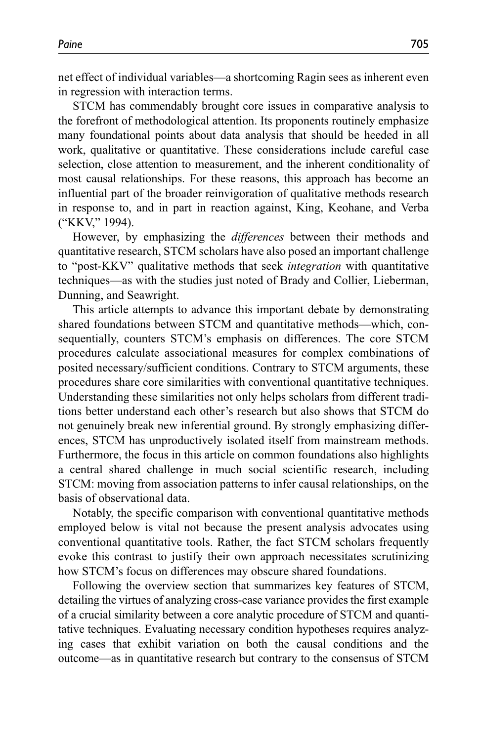net effect of individual variables—a shortcoming Ragin sees as inherent even in regression with interaction terms.

STCM has commendably brought core issues in comparative analysis to the forefront of methodological attention. Its proponents routinely emphasize many foundational points about data analysis that should be heeded in all work, qualitative or quantitative. These considerations include careful case selection, close attention to measurement, and the inherent conditionality of most causal relationships. For these reasons, this approach has become an influential part of the broader reinvigoration of qualitative methods research in response to, and in part in reaction against, King, Keohane, and Verba ("KKV," 1994).

However, by emphasizing the *differences* between their methods and quantitative research, STCM scholars have also posed an important challenge to "post-KKV" qualitative methods that seek *integration* with quantitative techniques—as with the studies just noted of Brady and Collier, Lieberman, Dunning, and Seawright.

This article attempts to advance this important debate by demonstrating shared foundations between STCM and quantitative methods—which, consequentially, counters STCM's emphasis on differences. The core STCM procedures calculate associational measures for complex combinations of posited necessary/sufficient conditions. Contrary to STCM arguments, these procedures share core similarities with conventional quantitative techniques. Understanding these similarities not only helps scholars from different traditions better understand each other's research but also shows that STCM do not genuinely break new inferential ground. By strongly emphasizing differences, STCM has unproductively isolated itself from mainstream methods. Furthermore, the focus in this article on common foundations also highlights a central shared challenge in much social scientific research, including STCM: moving from association patterns to infer causal relationships, on the basis of observational data.

Notably, the specific comparison with conventional quantitative methods employed below is vital not because the present analysis advocates using conventional quantitative tools. Rather, the fact STCM scholars frequently evoke this contrast to justify their own approach necessitates scrutinizing how STCM's focus on differences may obscure shared foundations.

Following the overview section that summarizes key features of STCM, detailing the virtues of analyzing cross-case variance provides the first example of a crucial similarity between a core analytic procedure of STCM and quantitative techniques. Evaluating necessary condition hypotheses requires analyzing cases that exhibit variation on both the causal conditions and the outcome—as in quantitative research but contrary to the consensus of STCM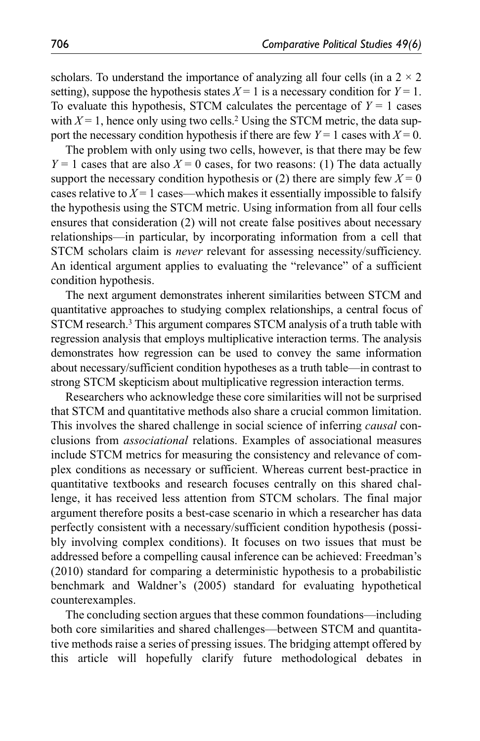scholars. To understand the importance of analyzing all four cells (in a  $2 \times 2$ ) setting), suppose the hypothesis states  $X = 1$  is a necessary condition for  $Y = 1$ . To evaluate this hypothesis, STCM calculates the percentage of  $Y = 1$  cases with  $X = 1$ , hence only using two cells.<sup>2</sup> Using the STCM metric, the data support the necessary condition hypothesis if there are few  $Y = 1$  cases with  $X = 0$ .

The problem with only using two cells, however, is that there may be few  $Y = 1$  cases that are also  $X = 0$  cases, for two reasons: (1) The data actually support the necessary condition hypothesis or (2) there are simply few  $X = 0$ cases relative to  $X = 1$  cases—which makes it essentially impossible to falsify the hypothesis using the STCM metric. Using information from all four cells ensures that consideration (2) will not create false positives about necessary relationships—in particular, by incorporating information from a cell that STCM scholars claim is *never* relevant for assessing necessity/sufficiency. An identical argument applies to evaluating the "relevance" of a sufficient condition hypothesis.

The next argument demonstrates inherent similarities between STCM and quantitative approaches to studying complex relationships, a central focus of STCM research.3 This argument compares STCM analysis of a truth table with regression analysis that employs multiplicative interaction terms. The analysis demonstrates how regression can be used to convey the same information about necessary/sufficient condition hypotheses as a truth table—in contrast to strong STCM skepticism about multiplicative regression interaction terms.

Researchers who acknowledge these core similarities will not be surprised that STCM and quantitative methods also share a crucial common limitation. This involves the shared challenge in social science of inferring *causal* conclusions from *associational* relations. Examples of associational measures include STCM metrics for measuring the consistency and relevance of complex conditions as necessary or sufficient. Whereas current best-practice in quantitative textbooks and research focuses centrally on this shared challenge, it has received less attention from STCM scholars. The final major argument therefore posits a best-case scenario in which a researcher has data perfectly consistent with a necessary/sufficient condition hypothesis (possibly involving complex conditions). It focuses on two issues that must be addressed before a compelling causal inference can be achieved: Freedman's (2010) standard for comparing a deterministic hypothesis to a probabilistic benchmark and Waldner's (2005) standard for evaluating hypothetical counterexamples.

The concluding section argues that these common foundations—including both core similarities and shared challenges—between STCM and quantitative methods raise a series of pressing issues. The bridging attempt offered by this article will hopefully clarify future methodological debates in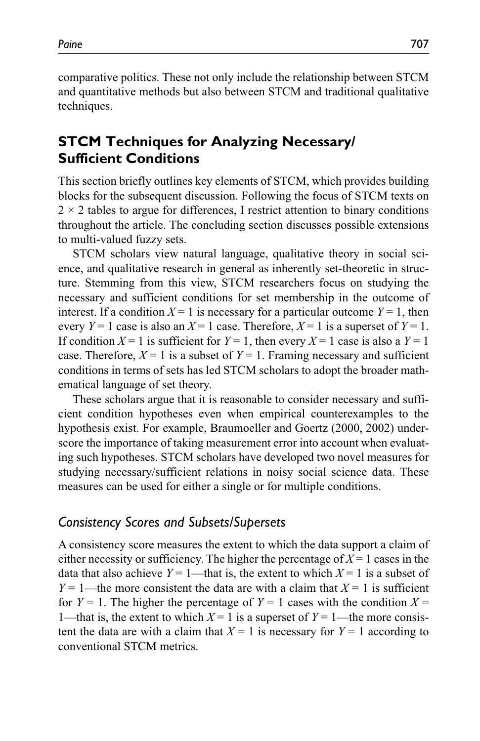comparative politics. These not only include the relationship between STCM and quantitative methods but also between STCM and traditional qualitative techniques.

# **STCM Techniques for Analyzing Necessary/ Sufficient Conditions**

This section briefly outlines key elements of STCM, which provides building blocks for the subsequent discussion. Following the focus of STCM texts on  $2 \times 2$  tables to argue for differences, I restrict attention to binary conditions throughout the article. The concluding section discusses possible extensions to multi-valued fuzzy sets.

STCM scholars view natural language, qualitative theory in social science, and qualitative research in general as inherently set-theoretic in structure. Stemming from this view, STCM researchers focus on studying the necessary and sufficient conditions for set membership in the outcome of interest. If a condition  $X = 1$  is necessary for a particular outcome  $Y = 1$ , then every  $Y = 1$  case is also an  $X = 1$  case. Therefore,  $X = 1$  is a superset of  $Y = 1$ . If condition  $X = 1$  is sufficient for  $Y = 1$ , then every  $X = 1$  case is also a  $Y = 1$ case. Therefore,  $X = 1$  is a subset of  $Y = 1$ . Framing necessary and sufficient conditions in terms of sets has led STCM scholars to adopt the broader mathematical language of set theory.

These scholars argue that it is reasonable to consider necessary and sufficient condition hypotheses even when empirical counterexamples to the hypothesis exist. For example, Braumoeller and Goertz (2000, 2002) underscore the importance of taking measurement error into account when evaluating such hypotheses. STCM scholars have developed two novel measures for studying necessary/sufficient relations in noisy social science data. These measures can be used for either a single or for multiple conditions.

### *Consistency Scores and Subsets/Supersets*

A consistency score measures the extent to which the data support a claim of either necessity or sufficiency. The higher the percentage of  $X = 1$  cases in the data that also achieve  $Y = 1$ —that is, the extent to which  $X = 1$  is a subset of  $Y = 1$ —the more consistent the data are with a claim that  $X = 1$  is sufficient for  $Y = 1$ . The higher the percentage of  $Y = 1$  cases with the condition  $X =$ 1—that is, the extent to which  $X = 1$  is a superset of  $Y = 1$ —the more consistent the data are with a claim that  $X = 1$  is necessary for  $Y = 1$  according to conventional STCM metrics.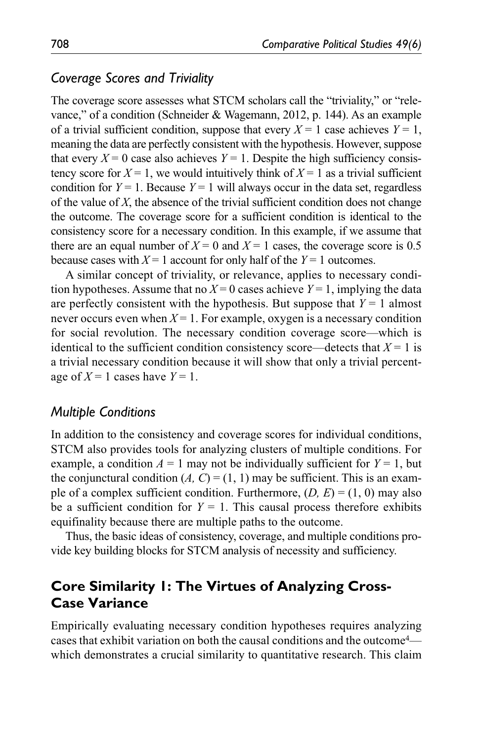# *Coverage Scores and Triviality*

The coverage score assesses what STCM scholars call the "triviality," or "relevance," of a condition (Schneider & Wagemann, 2012, p. 144). As an example of a trivial sufficient condition, suppose that every  $X = 1$  case achieves  $Y = 1$ , meaning the data are perfectly consistent with the hypothesis. However, suppose that every  $X = 0$  case also achieves  $Y = 1$ . Despite the high sufficiency consistency score for  $X = 1$ , we would intuitively think of  $X = 1$  as a trivial sufficient condition for  $Y = 1$ . Because  $Y = 1$  will always occur in the data set, regardless of the value of *X*, the absence of the trivial sufficient condition does not change the outcome. The coverage score for a sufficient condition is identical to the consistency score for a necessary condition. In this example, if we assume that there are an equal number of  $X = 0$  and  $X = 1$  cases, the coverage score is 0.5 because cases with  $X = 1$  account for only half of the  $Y = 1$  outcomes.

A similar concept of triviality, or relevance, applies to necessary condition hypotheses. Assume that no  $X = 0$  cases achieve  $Y = 1$ , implying the data are perfectly consistent with the hypothesis. But suppose that  $Y = 1$  almost never occurs even when  $X = 1$ . For example, oxygen is a necessary condition for social revolution. The necessary condition coverage score—which is identical to the sufficient condition consistency score—detects that  $X = 1$  is a trivial necessary condition because it will show that only a trivial percentage of  $X = 1$  cases have  $Y = 1$ .

### *Multiple Conditions*

In addition to the consistency and coverage scores for individual conditions, STCM also provides tools for analyzing clusters of multiple conditions. For example, a condition  $A = 1$  may not be individually sufficient for  $Y = 1$ , but the conjunctural condition  $(A, C) = (1, 1)$  may be sufficient. This is an example of a complex sufficient condition. Furthermore,  $(D, E) = (1, 0)$  may also be a sufficient condition for  $Y = 1$ . This causal process therefore exhibits equifinality because there are multiple paths to the outcome.

Thus, the basic ideas of consistency, coverage, and multiple conditions provide key building blocks for STCM analysis of necessity and sufficiency.

# **Core Similarity 1: The Virtues of Analyzing Cross-Case Variance**

Empirically evaluating necessary condition hypotheses requires analyzing cases that exhibit variation on both the causal conditions and the outcome4 which demonstrates a crucial similarity to quantitative research. This claim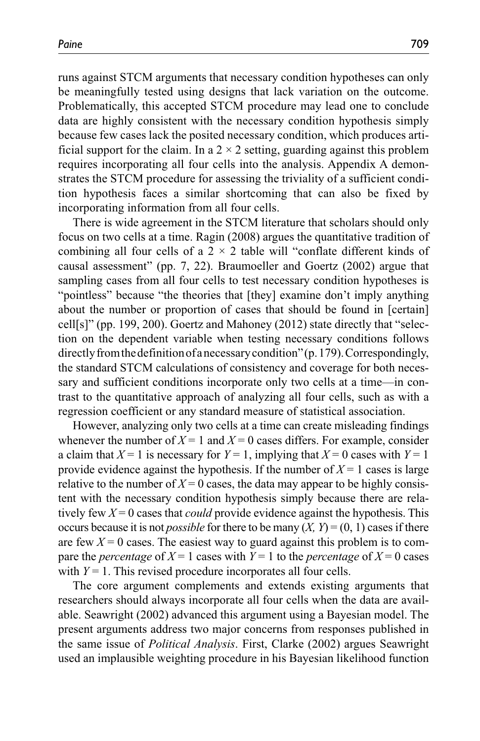runs against STCM arguments that necessary condition hypotheses can only be meaningfully tested using designs that lack variation on the outcome. Problematically, this accepted STCM procedure may lead one to conclude data are highly consistent with the necessary condition hypothesis simply because few cases lack the posited necessary condition, which produces artificial support for the claim. In a  $2 \times 2$  setting, guarding against this problem requires incorporating all four cells into the analysis. Appendix A demonstrates the STCM procedure for assessing the triviality of a sufficient condition hypothesis faces a similar shortcoming that can also be fixed by incorporating information from all four cells.

There is wide agreement in the STCM literature that scholars should only focus on two cells at a time. Ragin (2008) argues the quantitative tradition of combining all four cells of a  $2 \times 2$  table will "conflate different kinds of causal assessment" (pp. 7, 22). Braumoeller and Goertz (2002) argue that sampling cases from all four cells to test necessary condition hypotheses is "pointless" because "the theories that [they] examine don't imply anything about the number or proportion of cases that should be found in [certain] cell[s]" (pp. 199, 200). Goertz and Mahoney (2012) state directly that "selection on the dependent variable when testing necessary conditions follows directly from the definition of a necessary condition" (p. 179). Correspondingly, the standard STCM calculations of consistency and coverage for both necessary and sufficient conditions incorporate only two cells at a time—in contrast to the quantitative approach of analyzing all four cells, such as with a regression coefficient or any standard measure of statistical association.

However, analyzing only two cells at a time can create misleading findings whenever the number of  $X = 1$  and  $X = 0$  cases differs. For example, consider a claim that  $X = 1$  is necessary for  $Y = 1$ , implying that  $X = 0$  cases with  $Y = 1$ provide evidence against the hypothesis. If the number of  $X = 1$  cases is large relative to the number of  $X = 0$  cases, the data may appear to be highly consistent with the necessary condition hypothesis simply because there are relatively few  $X = 0$  cases that *could* provide evidence against the hypothesis. This occurs because it is not *possible* for there to be many  $(X, Y) = (0, 1)$  cases if there are few  $X = 0$  cases. The easiest way to guard against this problem is to compare the *percentage* of  $X = 1$  cases with  $Y = 1$  to the *percentage* of  $X = 0$  cases with  $Y = 1$ . This revised procedure incorporates all four cells.

The core argument complements and extends existing arguments that researchers should always incorporate all four cells when the data are available. Seawright (2002) advanced this argument using a Bayesian model. The present arguments address two major concerns from responses published in the same issue of *Political Analysis*. First, Clarke (2002) argues Seawright used an implausible weighting procedure in his Bayesian likelihood function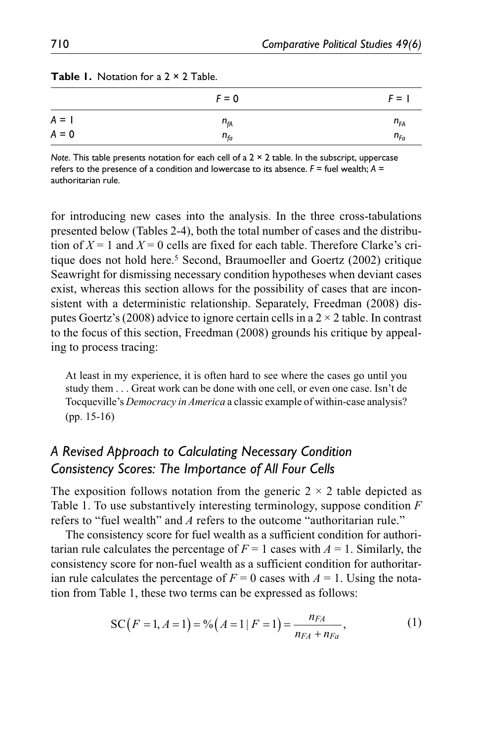|         | $F = 0$  | $F = 1$  |
|---------|----------|----------|
| $A = I$ | $n_{fA}$ | $n_{FA}$ |
| $A = 0$ | $n_{fa}$ | $n_{Fa}$ |

*Note*. This table presents notation for each cell of a 2 × 2 table. In the subscript, uppercase refers to the presence of a condition and lowercase to its absence.  $F =$  fuel wealth;  $A =$ authoritarian rule.

for introducing new cases into the analysis. In the three cross-tabulations presented below (Tables 2-4), both the total number of cases and the distribution of  $X = 1$  and  $X = 0$  cells are fixed for each table. Therefore Clarke's critique does not hold here.5 Second, Braumoeller and Goertz (2002) critique Seawright for dismissing necessary condition hypotheses when deviant cases exist, whereas this section allows for the possibility of cases that are inconsistent with a deterministic relationship. Separately, Freedman (2008) disputes Goertz's (2008) advice to ignore certain cells in a  $2 \times 2$  table. In contrast to the focus of this section, Freedman (2008) grounds his critique by appealing to process tracing:

At least in my experience, it is often hard to see where the cases go until you study them . . . Great work can be done with one cell, or even one case. Isn't de Tocqueville's *Democracy in America* a classic example of within-case analysis? (pp. 15-16)

# *A Revised Approach to Calculating Necessary Condition Consistency Scores: The Importance of All Four Cells*

The exposition follows notation from the generic  $2 \times 2$  table depicted as Table 1. To use substantively interesting terminology, suppose condition *F* refers to "fuel wealth" and *A* refers to the outcome "authoritarian rule."

The consistency score for fuel wealth as a sufficient condition for authoritarian rule calculates the percentage of  $F = 1$  cases with  $A = 1$ . Similarly, the consistency score for non-fuel wealth as a sufficient condition for authoritarian rule calculates the percentage of  $F = 0$  cases with  $A = 1$ . Using the notation from Table 1, these two terms can be expressed as follows:

$$
SC(F = 1, A = 1) = %(A = 1 | F = 1) = \frac{n_{FA}}{n_{FA} + n_{Fa}},
$$
\n(1)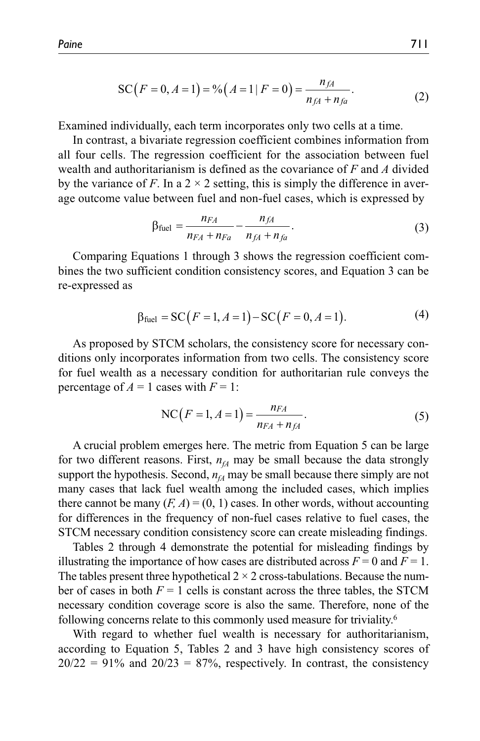$$
SC(F = 0, A = 1) = %(A = 1 | F = 0) = \frac{n_{fA}}{n_{fA} + n_{fa}}.
$$
\n(2)

Examined individually, each term incorporates only two cells at a time.

In contrast, a bivariate regression coefficient combines information from all four cells. The regression coefficient for the association between fuel wealth and authoritarianism is defined as the covariance of *F* and *A* divided by the variance of *F*. In a  $2 \times 2$  setting, this is simply the difference in average outcome value between fuel and non-fuel cases, which is expressed by

$$
\beta_{\text{fuel}} = \frac{n_{FA}}{n_{FA} + n_{Fa}} - \frac{n_{fA}}{n_{fA} + n_{fa}}.\tag{3}
$$

Comparing Equations 1 through 3 shows the regression coefficient combines the two sufficient condition consistency scores, and Equation 3 can be re-expressed as

$$
\beta_{\text{fuel}} = \text{SC}(F = 1, A = 1) - \text{SC}(F = 0, A = 1). \tag{4}
$$

As proposed by STCM scholars, the consistency score for necessary conditions only incorporates information from two cells. The consistency score for fuel wealth as a necessary condition for authoritarian rule conveys the percentage of  $A = 1$  cases with  $F = 1$ :

NC
$$
(F = 1, A = 1) = \frac{n_{FA}}{n_{FA} + n_{fa}}
$$
. (5)

A crucial problem emerges here. The metric from Equation 5 can be large for two different reasons. First,  $n<sub>fA</sub>$  may be small because the data strongly support the hypothesis. Second,  $n<sub>A</sub>$  may be small because there simply are not many cases that lack fuel wealth among the included cases, which implies there cannot be many  $(F, A) = (0, 1)$  cases. In other words, without accounting for differences in the frequency of non-fuel cases relative to fuel cases, the STCM necessary condition consistency score can create misleading findings.

Tables 2 through 4 demonstrate the potential for misleading findings by illustrating the importance of how cases are distributed across  $F = 0$  and  $F = 1$ . The tables present three hypothetical  $2 \times 2$  cross-tabulations. Because the number of cases in both  $F = 1$  cells is constant across the three tables, the STCM necessary condition coverage score is also the same. Therefore, none of the following concerns relate to this commonly used measure for triviality.6

With regard to whether fuel wealth is necessary for authoritarianism, according to Equation 5, Tables 2 and 3 have high consistency scores of  $20/22 = 91\%$  and  $20/23 = 87\%$ , respectively. In contrast, the consistency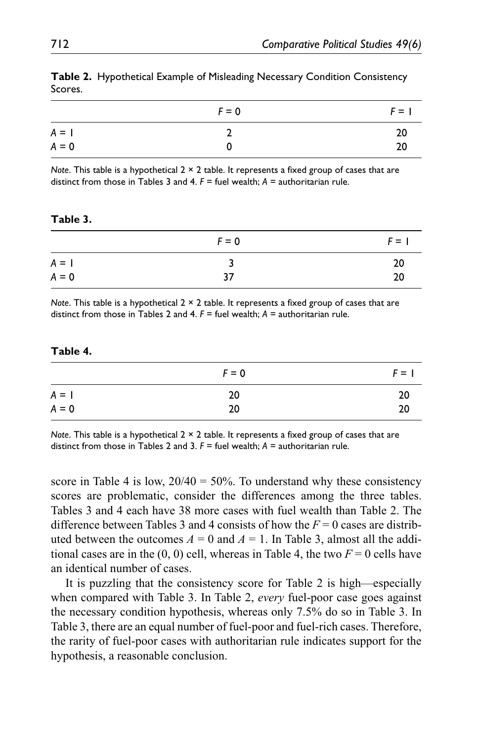|         | $F = 0$ | $F = 1$ |
|---------|---------|---------|
| $A = I$ |         | 20      |
| $A = 0$ |         | 20      |

**Table 2.** Hypothetical Example of Misleading Necessary Condition Consistency Scores.

*Note*. This table is a hypothetical 2 × 2 table. It represents a fixed group of cases that are distinct from those in Tables 3 and 4. *F* = fuel wealth; *A* = authoritarian rule.

#### **Table 3.**

|         | $F = 0$ | $F = 1$ |
|---------|---------|---------|
| $A = I$ | ર       | 20      |
| $A = 0$ | 37      | 20      |

*Note*. This table is a hypothetical 2 × 2 table. It represents a fixed group of cases that are distinct from those in Tables 2 and 4. *F* = fuel wealth; *A* = authoritarian rule.

#### **Table 4.**

|         | $F = 0$ | $F = 1$ |
|---------|---------|---------|
| $A = I$ | 20      | 20      |
| $A = 0$ | 20      | 20      |

*Note*. This table is a hypothetical 2 × 2 table. It represents a fixed group of cases that are distinct from those in Tables 2 and 3. *F* = fuel wealth; *A* = authoritarian rule.

score in Table 4 is low,  $20/40 = 50\%$ . To understand why these consistency scores are problematic, consider the differences among the three tables. Tables 3 and 4 each have 38 more cases with fuel wealth than Table 2. The difference between Tables 3 and 4 consists of how the  $F = 0$  cases are distributed between the outcomes  $A = 0$  and  $A = 1$ . In Table 3, almost all the additional cases are in the  $(0, 0)$  cell, whereas in Table 4, the two  $F = 0$  cells have an identical number of cases.

It is puzzling that the consistency score for Table 2 is high—especially when compared with Table 3. In Table 2, *every* fuel-poor case goes against the necessary condition hypothesis, whereas only 7.5% do so in Table 3. In Table 3, there are an equal number of fuel-poor and fuel-rich cases. Therefore, the rarity of fuel-poor cases with authoritarian rule indicates support for the hypothesis, a reasonable conclusion.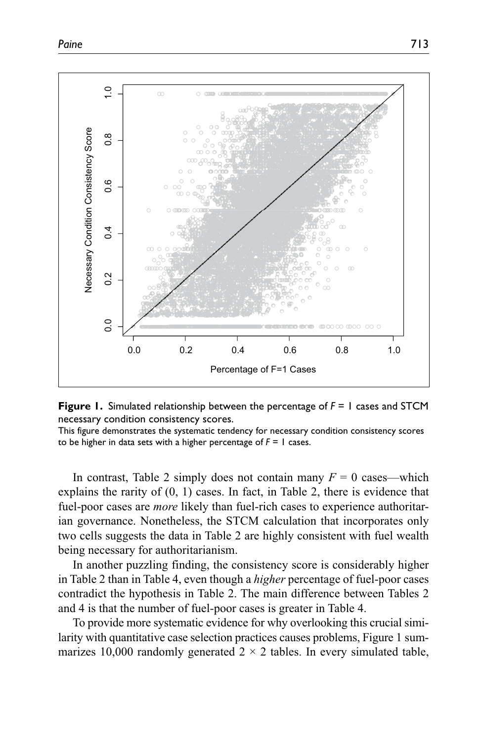

**Figure 1.** Simulated relationship between the percentage of *F* = 1 cases and STCM necessary condition consistency scores.

This figure demonstrates the systematic tendency for necessary condition consistency scores to be higher in data sets with a higher percentage of *F* = 1 cases.

In contrast, Table 2 simply does not contain many  $F = 0$  cases—which explains the rarity of (0, 1) cases. In fact, in Table 2, there is evidence that fuel-poor cases are *more* likely than fuel-rich cases to experience authoritarian governance. Nonetheless, the STCM calculation that incorporates only two cells suggests the data in Table 2 are highly consistent with fuel wealth being necessary for authoritarianism.

In another puzzling finding, the consistency score is considerably higher in Table 2 than in Table 4, even though a *higher* percentage of fuel-poor cases contradict the hypothesis in Table 2. The main difference between Tables 2 and 4 is that the number of fuel-poor cases is greater in Table 4.

To provide more systematic evidence for why overlooking this crucial similarity with quantitative case selection practices causes problems, Figure 1 summarizes 10,000 randomly generated  $2 \times 2$  tables. In every simulated table,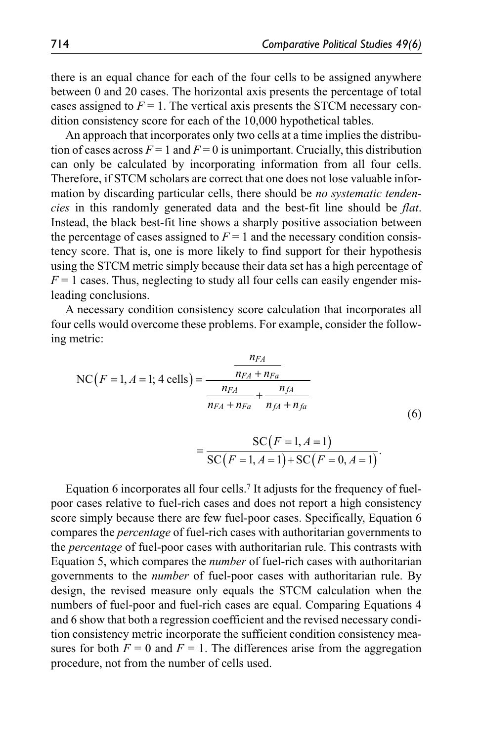there is an equal chance for each of the four cells to be assigned anywhere between 0 and 20 cases. The horizontal axis presents the percentage of total cases assigned to  $F = 1$ . The vertical axis presents the STCM necessary condition consistency score for each of the 10,000 hypothetical tables.

An approach that incorporates only two cells at a time implies the distribution of cases across  $F = 1$  and  $F = 0$  is unimportant. Crucially, this distribution can only be calculated by incorporating information from all four cells. Therefore, if STCM scholars are correct that one does not lose valuable information by discarding particular cells, there should be *no systematic tendencies* in this randomly generated data and the best-fit line should be *flat*. Instead, the black best-fit line shows a sharply positive association between the percentage of cases assigned to  $F = 1$  and the necessary condition consistency score. That is, one is more likely to find support for their hypothesis using the STCM metric simply because their data set has a high percentage of  $F = 1$  cases. Thus, neglecting to study all four cells can easily engender misleading conclusions.

A necessary condition consistency score calculation that incorporates all four cells would overcome these problems. For example, consider the following metric:

NC(*F* = 1, *A* = 1; 4 cells) = 
$$
\frac{n_{FA}}{n_{FA} + n_{Fa}} + \frac{n_{fA}}{n_{fA} + n_{fa}} \tag{6}
$$

$$
=\frac{\text{SC}(F=1, A=1)}{\text{SC}(F=1, A=1) + \text{SC}(F=0, A=1)}.
$$

Equation 6 incorporates all four cells.7 It adjusts for the frequency of fuelpoor cases relative to fuel-rich cases and does not report a high consistency score simply because there are few fuel-poor cases. Specifically, Equation 6 compares the *percentage* of fuel-rich cases with authoritarian governments to the *percentage* of fuel-poor cases with authoritarian rule. This contrasts with Equation 5, which compares the *number* of fuel-rich cases with authoritarian governments to the *number* of fuel-poor cases with authoritarian rule. By design, the revised measure only equals the STCM calculation when the numbers of fuel-poor and fuel-rich cases are equal. Comparing Equations 4 and 6 show that both a regression coefficient and the revised necessary condition consistency metric incorporate the sufficient condition consistency measures for both  $F = 0$  and  $F = 1$ . The differences arise from the aggregation procedure, not from the number of cells used.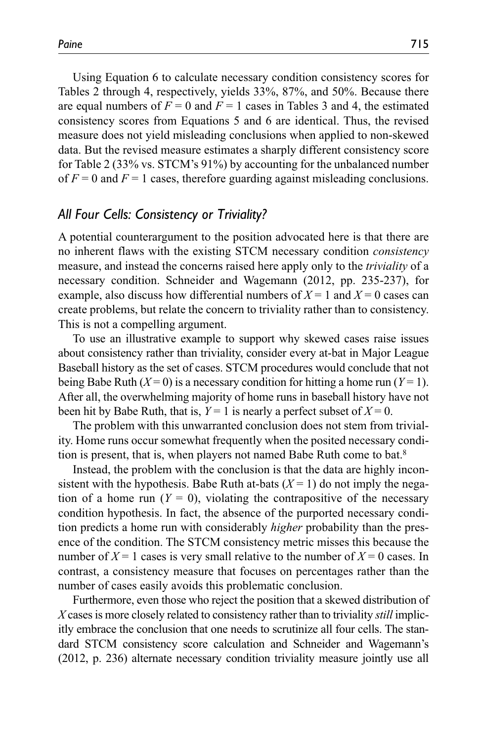Using Equation 6 to calculate necessary condition consistency scores for Tables 2 through 4, respectively, yields 33%, 87%, and 50%. Because there are equal numbers of  $F = 0$  and  $F = 1$  cases in Tables 3 and 4, the estimated consistency scores from Equations 5 and 6 are identical. Thus, the revised measure does not yield misleading conclusions when applied to non-skewed data. But the revised measure estimates a sharply different consistency score for Table 2 (33% vs. STCM's 91%) by accounting for the unbalanced number of  $F = 0$  and  $F = 1$  cases, therefore guarding against misleading conclusions.

### *All Four Cells: Consistency or Triviality?*

A potential counterargument to the position advocated here is that there are no inherent flaws with the existing STCM necessary condition *consistency* measure, and instead the concerns raised here apply only to the *triviality* of a necessary condition. Schneider and Wagemann (2012, pp. 235-237), for example, also discuss how differential numbers of  $X = 1$  and  $X = 0$  cases can create problems, but relate the concern to triviality rather than to consistency. This is not a compelling argument.

To use an illustrative example to support why skewed cases raise issues about consistency rather than triviality, consider every at-bat in Major League Baseball history as the set of cases. STCM procedures would conclude that not being Babe Ruth  $(X=0)$  is a necessary condition for hitting a home run  $(Y=1)$ . After all, the overwhelming majority of home runs in baseball history have not been hit by Babe Ruth, that is,  $Y = 1$  is nearly a perfect subset of  $X = 0$ .

The problem with this unwarranted conclusion does not stem from triviality. Home runs occur somewhat frequently when the posited necessary condition is present, that is, when players not named Babe Ruth come to bat.8

Instead, the problem with the conclusion is that the data are highly inconsistent with the hypothesis. Babe Ruth at-bats  $(X = 1)$  do not imply the negation of a home run  $(Y = 0)$ , violating the contrapositive of the necessary condition hypothesis. In fact, the absence of the purported necessary condition predicts a home run with considerably *higher* probability than the presence of the condition. The STCM consistency metric misses this because the number of  $X = 1$  cases is very small relative to the number of  $X = 0$  cases. In contrast, a consistency measure that focuses on percentages rather than the number of cases easily avoids this problematic conclusion.

Furthermore, even those who reject the position that a skewed distribution of *X* cases is more closely related to consistency rather than to triviality *still* implicitly embrace the conclusion that one needs to scrutinize all four cells. The standard STCM consistency score calculation and Schneider and Wagemann's (2012, p. 236) alternate necessary condition triviality measure jointly use all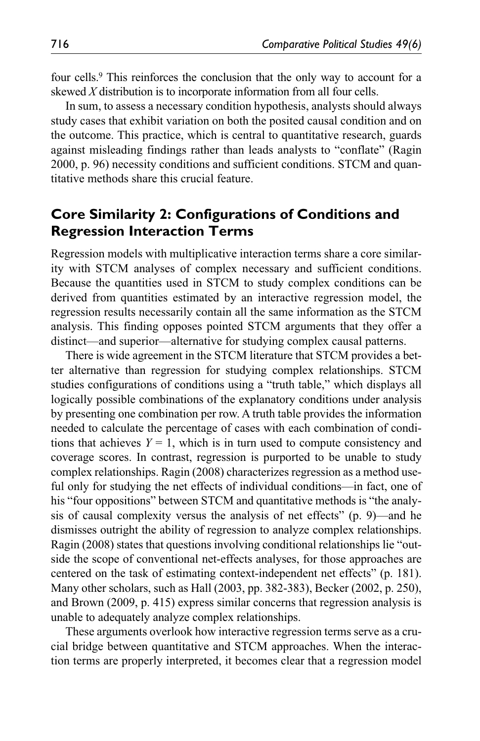four cells.9 This reinforces the conclusion that the only way to account for a skewed *X* distribution is to incorporate information from all four cells.

In sum, to assess a necessary condition hypothesis, analysts should always study cases that exhibit variation on both the posited causal condition and on the outcome. This practice, which is central to quantitative research, guards against misleading findings rather than leads analysts to "conflate" (Ragin 2000, p. 96) necessity conditions and sufficient conditions. STCM and quantitative methods share this crucial feature.

# **Core Similarity 2: Configurations of Conditions and Regression Interaction Terms**

Regression models with multiplicative interaction terms share a core similarity with STCM analyses of complex necessary and sufficient conditions. Because the quantities used in STCM to study complex conditions can be derived from quantities estimated by an interactive regression model, the regression results necessarily contain all the same information as the STCM analysis. This finding opposes pointed STCM arguments that they offer a distinct—and superior—alternative for studying complex causal patterns.

There is wide agreement in the STCM literature that STCM provides a better alternative than regression for studying complex relationships. STCM studies configurations of conditions using a "truth table," which displays all logically possible combinations of the explanatory conditions under analysis by presenting one combination per row. A truth table provides the information needed to calculate the percentage of cases with each combination of conditions that achieves  $Y = 1$ , which is in turn used to compute consistency and coverage scores. In contrast, regression is purported to be unable to study complex relationships. Ragin (2008) characterizes regression as a method useful only for studying the net effects of individual conditions—in fact, one of his "four oppositions" between STCM and quantitative methods is "the analysis of causal complexity versus the analysis of net effects" (p. 9)—and he dismisses outright the ability of regression to analyze complex relationships. Ragin (2008) states that questions involving conditional relationships lie "outside the scope of conventional net-effects analyses, for those approaches are centered on the task of estimating context-independent net effects" (p. 181). Many other scholars, such as Hall (2003, pp. 382-383), Becker (2002, p. 250), and Brown (2009, p. 415) express similar concerns that regression analysis is unable to adequately analyze complex relationships.

These arguments overlook how interactive regression terms serve as a crucial bridge between quantitative and STCM approaches. When the interaction terms are properly interpreted, it becomes clear that a regression model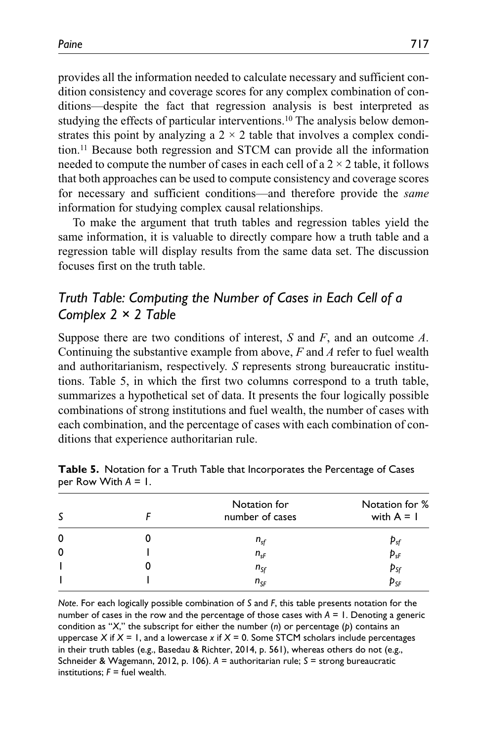provides all the information needed to calculate necessary and sufficient condition consistency and coverage scores for any complex combination of conditions—despite the fact that regression analysis is best interpreted as studying the effects of particular interventions.10 The analysis below demonstrates this point by analyzing a  $2 \times 2$  table that involves a complex condition.11 Because both regression and STCM can provide all the information needed to compute the number of cases in each cell of a  $2 \times 2$  table, it follows that both approaches can be used to compute consistency and coverage scores for necessary and sufficient conditions—and therefore provide the *same* information for studying complex causal relationships.

To make the argument that truth tables and regression tables yield the same information, it is valuable to directly compare how a truth table and a regression table will display results from the same data set. The discussion focuses first on the truth table.

# *Truth Table: Computing the Number of Cases in Each Cell of a Complex 2 × 2 Table*

Suppose there are two conditions of interest, *S* and *F*, and an outcome *A*. Continuing the substantive example from above, *F* and *A* refer to fuel wealth and authoritarianism, respectively. *S* represents strong bureaucratic institutions. Table 5, in which the first two columns correspond to a truth table, summarizes a hypothetical set of data. It presents the four logically possible combinations of strong institutions and fuel wealth, the number of cases with each combination, and the percentage of cases with each combination of conditions that experience authoritarian rule.

| S | Notation for<br>number of cases | Notation for %<br>with $A = I$ |
|---|---------------------------------|--------------------------------|
| 0 | $n_{sf}$                        | $p_{sf}$                       |
| 0 | $n_{sf}$                        | $\mathbf{p}_{\text{sF}}$       |
|   | $n_{sf}$                        |                                |
|   | $n_{SF}$                        | p <sub>sf</sub><br>Psf         |

|                        |  | Table 5. Notation for a Truth Table that Incorporates the Percentage of Cases |  |
|------------------------|--|-------------------------------------------------------------------------------|--|
| per Row With $A = I$ . |  |                                                                               |  |

*Note*. For each logically possible combination of *S* and *F*, this table presents notation for the number of cases in the row and the percentage of those cases with *A* = 1. Denoting a generic condition as "*X*," the subscript for either the number (*n*) or percentage (*p*) contains an uppercase  $X$  if  $X = I$ , and a lowercase  $x$  if  $X = 0$ . Some STCM scholars include percentages in their truth tables (e.g., Basedau & Richter, 2014, p. 561), whereas others do not (e.g., Schneider & Wagemann, 2012, p. 106). *A* = authoritarian rule; *S* = strong bureaucratic institutions;  $F =$  fuel wealth.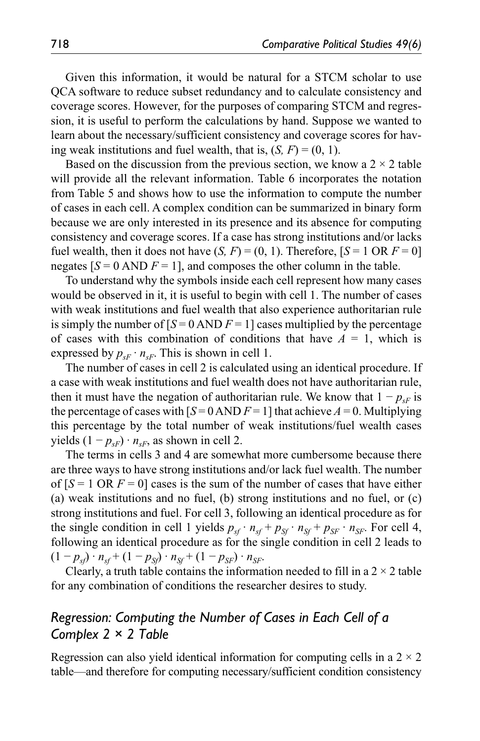Given this information, it would be natural for a STCM scholar to use QCA software to reduce subset redundancy and to calculate consistency and coverage scores. However, for the purposes of comparing STCM and regression, it is useful to perform the calculations by hand. Suppose we wanted to learn about the necessary/sufficient consistency and coverage scores for having weak institutions and fuel wealth, that is,  $(S, F) = (0, 1)$ .

Based on the discussion from the previous section, we know a  $2 \times 2$  table will provide all the relevant information. Table 6 incorporates the notation from Table 5 and shows how to use the information to compute the number of cases in each cell. A complex condition can be summarized in binary form because we are only interested in its presence and its absence for computing consistency and coverage scores. If a case has strong institutions and/or lacks fuel wealth, then it does not have  $(S, F) = (0, 1)$ . Therefore,  $[S = 1 \text{ OR } F = 0]$ negates  $[S = 0 \text{ AND } F = 1]$ , and composes the other column in the table.

To understand why the symbols inside each cell represent how many cases would be observed in it, it is useful to begin with cell 1. The number of cases with weak institutions and fuel wealth that also experience authoritarian rule is simply the number of  $[S = 0 \text{ AND } F = 1]$  cases multiplied by the percentage of cases with this combination of conditions that have  $A = 1$ , which is expressed by  $p_{sF} \cdot n_{sF}$ . This is shown in cell 1.

The number of cases in cell 2 is calculated using an identical procedure. If a case with weak institutions and fuel wealth does not have authoritarian rule, then it must have the negation of authoritarian rule. We know that  $1 - p_{\rm sf}$  is the percentage of cases with  $[S = 0 \text{ AND } F = 1]$  that achieve  $A = 0$ . Multiplying this percentage by the total number of weak institutions/fuel wealth cases yields  $(1 - p_{sF}) \cdot n_{sF}$ , as shown in cell 2.

The terms in cells 3 and 4 are somewhat more cumbersome because there are three ways to have strong institutions and/or lack fuel wealth. The number of  $[S = 1 \text{ OR } F = 0]$  cases is the sum of the number of cases that have either (a) weak institutions and no fuel, (b) strong institutions and no fuel, or (c) strong institutions and fuel. For cell 3, following an identical procedure as for the single condition in cell 1 yields  $p_{sf} \cdot n_{sf} + p_{sf} \cdot n_{sf} + p_{SF} \cdot n_{SF}$ . For cell 4, following an identical procedure as for the single condition in cell 2 leads to  $(1 - p_{sf}) \cdot n_{sf} + (1 - p_{sf}) \cdot n_{sf} + (1 - p_{SF}) \cdot n_{SF}$ .

Clearly, a truth table contains the information needed to fill in a  $2 \times 2$  table for any combination of conditions the researcher desires to study.

# *Regression: Computing the Number of Cases in Each Cell of a Complex 2 × 2 Table*

Regression can also yield identical information for computing cells in a  $2 \times 2$ table—and therefore for computing necessary/sufficient condition consistency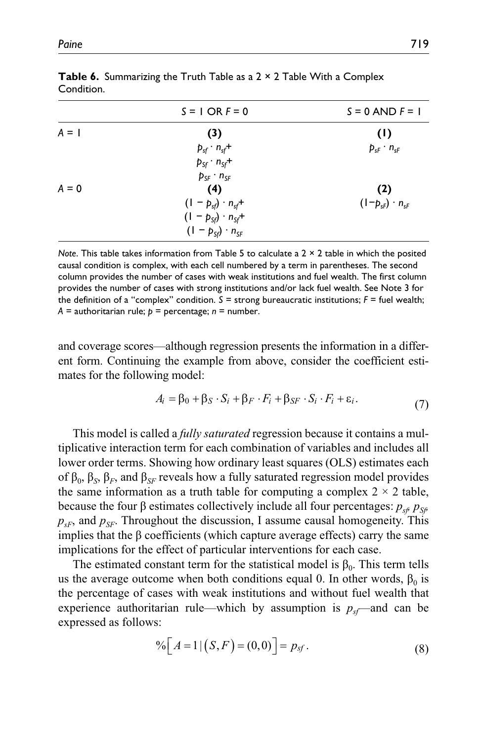|         | $S = 1$ OR $F = 0$            | $S = 0$ AND $F = 1$               |
|---------|-------------------------------|-----------------------------------|
| $A = I$ | (3)                           | (1)                               |
|         | $p_{sf} \cdot n_{sf}$ +       | $p_{sf} \cdot n_{sf}$             |
|         | $p_{sf} \cdot n_{sf}$ +       |                                   |
|         | $p_{SF} \cdot n_{SF}$         |                                   |
| $A = 0$ | (4)                           | (2)                               |
|         | $(1 - p_{sf}) \cdot n_{sf}$ + | $(1-p_{\rm sf}) \cdot n_{\rm sf}$ |
|         | $(1 - p_{sf}) \cdot n_{sf}$ + |                                   |
|         | $(1 - p_{sf}) \cdot n_{sf}$   |                                   |

**Table 6.** Summarizing the Truth Table as a 2  $\times$  2 Table With a Complex Condition.

*Note*. This table takes information from Table 5 to calculate a 2 × 2 table in which the posited causal condition is complex, with each cell numbered by a term in parentheses. The second column provides the number of cases with weak institutions and fuel wealth. The first column provides the number of cases with strong institutions and/or lack fuel wealth. See Note 3 for the definition of a "complex" condition.  $S =$  strong bureaucratic institutions;  $F =$  fuel wealth;  $A =$  authoritarian rule;  $p =$  percentage;  $n =$  number.

and coverage scores—although regression presents the information in a different form. Continuing the example from above, consider the coefficient estimates for the following model:

$$
A_i = \beta_0 + \beta_S \cdot S_i + \beta_F \cdot F_i + \beta_{SF} \cdot S_i \cdot F_i + \varepsilon_i.
$$
\n(7)

This model is called a *fully saturated* regression because it contains a multiplicative interaction term for each combination of variables and includes all lower order terms. Showing how ordinary least squares (OLS) estimates each of  $β_0$ ,  $β_S$ ,  $β_F$ , and  $β_{SF}$  reveals how a fully saturated regression model provides the same information as a truth table for computing a complex  $2 \times 2$  table, because the four β estimates collectively include all four percentages:  $p_{\rm sf}$   $p_{\rm Sf}$  $p_{sF}$ , and  $p_{SF}$ . Throughout the discussion, I assume causal homogeneity. This implies that the  $\beta$  coefficients (which capture average effects) carry the same implications for the effect of particular interventions for each case.

The estimated constant term for the statistical model is  $\beta_0$ . This term tells us the average outcome when both conditions equal 0. In other words,  $\beta_0$  is the percentage of cases with weak institutions and without fuel wealth that experience authoritarian rule—which by assumption is  $p_{sf}$ —and can be expressed as follows:

$$
\% \Big[ A = 1 | \big( S, F \big) = (0, 0) \Big] = p_{sf}. \tag{8}
$$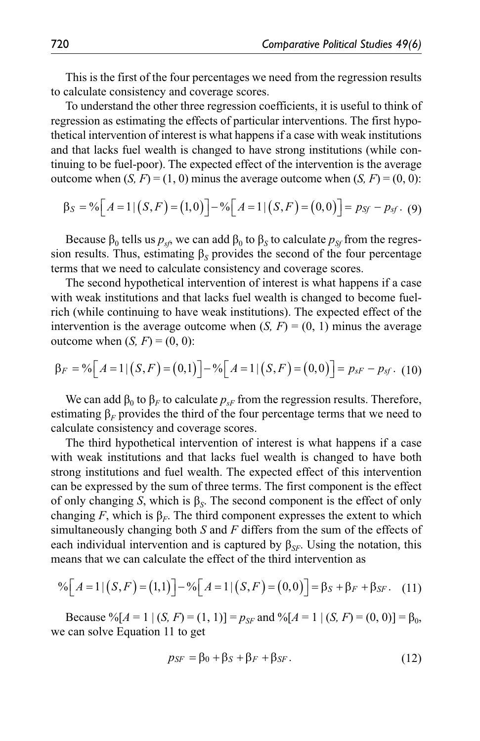This is the first of the four percentages we need from the regression results to calculate consistency and coverage scores.

To understand the other three regression coefficients, it is useful to think of regression as estimating the effects of particular interventions. The first hypothetical intervention of interest is what happens if a case with weak institutions and that lacks fuel wealth is changed to have strong institutions (while continuing to be fuel-poor). The expected effect of the intervention is the average outcome when  $(S, F) = (1, 0)$  minus the average outcome when  $(S, F) = (0, 0)$ :

$$
\beta_S = \frac{9}{6} \Big[ A = 1 \, | \, (S, F) = (1, 0) \Big] - \frac{9}{6} \Big[ A = 1 \, | \, (S, F) = (0, 0) \Big] = \, p_{Sf} - p_{Sf} \,. \tag{9}
$$

Because  $β_0$  tells us  $p_{sf}$ , we can add  $β_0$  to  $β_S$  to calculate  $p_{sf}$  from the regression results. Thus, estimating  $\beta_S$  provides the second of the four percentage terms that we need to calculate consistency and coverage scores.

The second hypothetical intervention of interest is what happens if a case with weak institutions and that lacks fuel wealth is changed to become fuelrich (while continuing to have weak institutions). The expected effect of the intervention is the average outcome when  $(S, F) = (0, 1)$  minus the average outcome when  $(S, F) = (0, 0)$ :

$$
\beta_F = \frac{9}{6} \Big[ A = 1 \, | \, (S, F) = (0, 1) \Big] - \frac{9}{6} \Big[ A = 1 \, | \, (S, F) = (0, 0) \Big] = p_{SF} - p_{sf} \,. \tag{10}
$$

We can add  $\beta_0$  to  $\beta_F$  to calculate  $p_{sF}$  from the regression results. Therefore, estimating  $\beta_F$  provides the third of the four percentage terms that we need to calculate consistency and coverage scores.

The third hypothetical intervention of interest is what happens if a case with weak institutions and that lacks fuel wealth is changed to have both strong institutions and fuel wealth. The expected effect of this intervention can be expressed by the sum of three terms. The first component is the effect of only changing *S*, which is  $\beta_S$ . The second component is the effect of only changing *F*, which is  $\beta_F$ . The third component expresses the extent to which simultaneously changing both *S* and *F* differs from the sum of the effects of each individual intervention and is captured by  $\beta_{SF}$ . Using the notation, this means that we can calculate the effect of the third intervention as

$$
\% \Big[ A = 1 | \big( S, F \big) = (1, 1) \Big] - \% \Big[ A = 1 | \big( S, F \big) = (0, 0) \Big] = \beta_S + \beta_F + \beta_{SF}. \tag{11}
$$

Because % $[A = 1 | (S, F) = (1, 1)] = p_{SF}$  and % $[A = 1 | (S, F) = (0, 0)] = \beta_0$ , we can solve Equation 11 to get

$$
p_{SF} = \beta_0 + \beta_S + \beta_F + \beta_{SF}.
$$
 (12)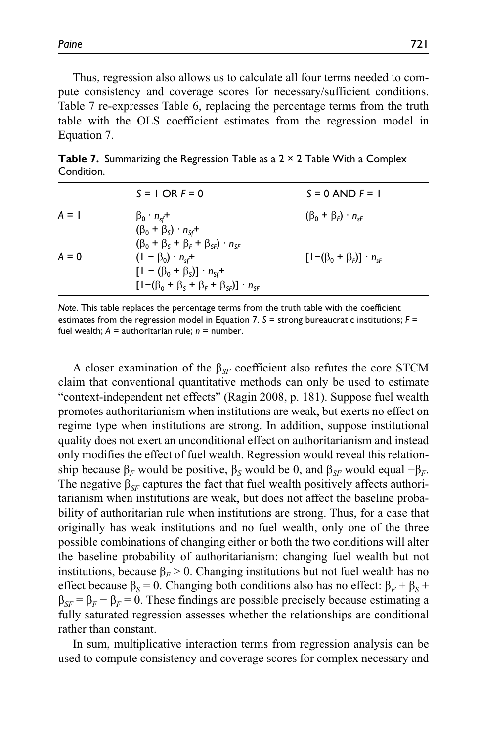Thus, regression also allows us to calculate all four terms needed to compute consistency and coverage scores for necessary/sufficient conditions. Table 7 re-expresses Table 6, replacing the percentage terms from the truth table with the OLS coefficient estimates from the regression model in Equation 7.

|         | $S = I$ OR $F = 0$                                                                                                                            | $S = 0$ AND $F = 1$                        |
|---------|-----------------------------------------------------------------------------------------------------------------------------------------------|--------------------------------------------|
| $A = I$ | $\beta_0 \cdot n_{sf}$ +<br>$(\beta_0 + \beta_s) \cdot n_{sf}$ +<br>$(\beta_0 + \beta_s + \beta_f + \beta_{s} - n_{s}$                        | $(\beta_0 + \beta_F) \cdot n_{\rm cf}$     |
| $A = 0$ | $(1 - \beta_0) \cdot n_{sf}$ +<br>$[1 - (\beta_0 + \beta_5)] \cdot n_{sf}$ +<br>$[1-(\beta_0 + \beta_s + \beta_r + \beta_{se})] \cdot n_{se}$ | $[1-(\beta_0 + \beta_F)] \cdot n_{\rm sf}$ |
|         |                                                                                                                                               |                                            |

**Table 7.** Summarizing the Regression Table as a 2 × 2 Table With a Complex Condition.

*Note*. This table replaces the percentage terms from the truth table with the coefficient estimates from the regression model in Equation 7. *S* = strong bureaucratic institutions; *F* = fuel wealth; *A* = authoritarian rule; *n* = number.

A closer examination of the  $\beta_{SF}$  coefficient also refutes the core STCM claim that conventional quantitative methods can only be used to estimate "context-independent net effects" (Ragin 2008, p. 181). Suppose fuel wealth promotes authoritarianism when institutions are weak, but exerts no effect on regime type when institutions are strong. In addition, suppose institutional quality does not exert an unconditional effect on authoritarianism and instead only modifies the effect of fuel wealth. Regression would reveal this relationship because  $\beta_F$  would be positive,  $\beta_S$  would be 0, and  $\beta_{SF}$  would equal  $-\beta_F$ . The negative  $\beta_{SF}$  captures the fact that fuel wealth positively affects authoritarianism when institutions are weak, but does not affect the baseline probability of authoritarian rule when institutions are strong. Thus, for a case that originally has weak institutions and no fuel wealth, only one of the three possible combinations of changing either or both the two conditions will alter the baseline probability of authoritarianism: changing fuel wealth but not institutions, because  $\beta_F > 0$ . Changing institutions but not fuel wealth has no effect because  $\beta_s = 0$ . Changing both conditions also has no effect:  $\beta_F + \beta_S + \beta_S$  $\beta_{SF} = \beta_F - \beta_F = 0$ . These findings are possible precisely because estimating a fully saturated regression assesses whether the relationships are conditional rather than constant.

In sum, multiplicative interaction terms from regression analysis can be used to compute consistency and coverage scores for complex necessary and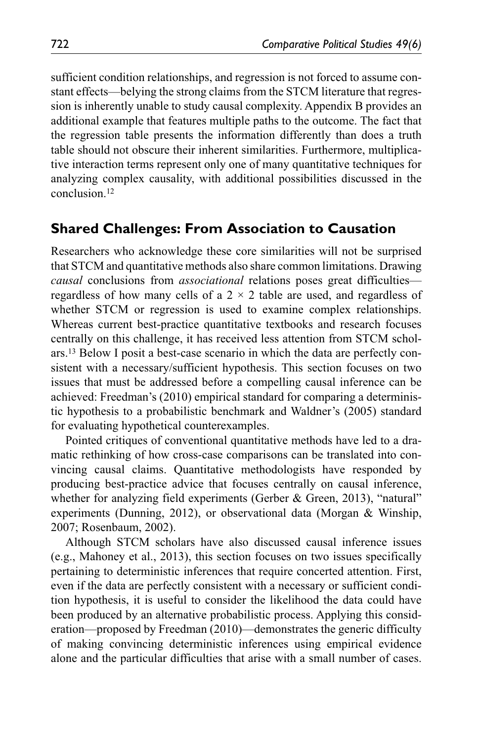sufficient condition relationships, and regression is not forced to assume constant effects—belying the strong claims from the STCM literature that regression is inherently unable to study causal complexity. Appendix B provides an additional example that features multiple paths to the outcome. The fact that the regression table presents the information differently than does a truth table should not obscure their inherent similarities. Furthermore, multiplicative interaction terms represent only one of many quantitative techniques for analyzing complex causality, with additional possibilities discussed in the conclusion.12

### **Shared Challenges: From Association to Causation**

Researchers who acknowledge these core similarities will not be surprised that STCM and quantitative methods also share common limitations. Drawing *causal* conclusions from *associational* relations poses great difficulties regardless of how many cells of a  $2 \times 2$  table are used, and regardless of whether STCM or regression is used to examine complex relationships. Whereas current best-practice quantitative textbooks and research focuses centrally on this challenge, it has received less attention from STCM scholars.13 Below I posit a best-case scenario in which the data are perfectly consistent with a necessary/sufficient hypothesis. This section focuses on two issues that must be addressed before a compelling causal inference can be achieved: Freedman's (2010) empirical standard for comparing a deterministic hypothesis to a probabilistic benchmark and Waldner's (2005) standard for evaluating hypothetical counterexamples.

Pointed critiques of conventional quantitative methods have led to a dramatic rethinking of how cross-case comparisons can be translated into convincing causal claims. Quantitative methodologists have responded by producing best-practice advice that focuses centrally on causal inference, whether for analyzing field experiments (Gerber & Green, 2013), "natural" experiments (Dunning, 2012), or observational data (Morgan & Winship, 2007; Rosenbaum, 2002).

Although STCM scholars have also discussed causal inference issues (e.g., Mahoney et al., 2013), this section focuses on two issues specifically pertaining to deterministic inferences that require concerted attention. First, even if the data are perfectly consistent with a necessary or sufficient condition hypothesis, it is useful to consider the likelihood the data could have been produced by an alternative probabilistic process. Applying this consideration—proposed by Freedman (2010)—demonstrates the generic difficulty of making convincing deterministic inferences using empirical evidence alone and the particular difficulties that arise with a small number of cases.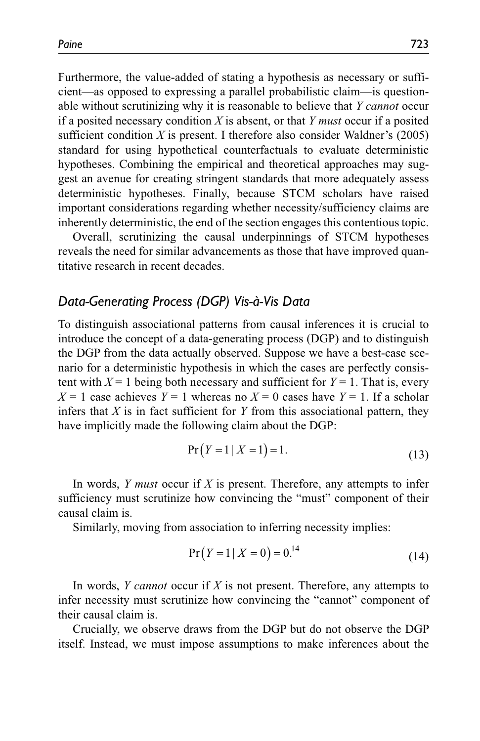Furthermore, the value-added of stating a hypothesis as necessary or sufficient—as opposed to expressing a parallel probabilistic claim—is questionable without scrutinizing why it is reasonable to believe that *Y cannot* occur if a posited necessary condition *X* is absent, or that *Y must* occur if a posited sufficient condition  $X$  is present. I therefore also consider Waldner's (2005) standard for using hypothetical counterfactuals to evaluate deterministic hypotheses. Combining the empirical and theoretical approaches may suggest an avenue for creating stringent standards that more adequately assess deterministic hypotheses. Finally, because STCM scholars have raised important considerations regarding whether necessity/sufficiency claims are inherently deterministic, the end of the section engages this contentious topic.

Overall, scrutinizing the causal underpinnings of STCM hypotheses reveals the need for similar advancements as those that have improved quantitative research in recent decades.

### *Data-Generating Process (DGP) Vis-à-Vis Data*

To distinguish associational patterns from causal inferences it is crucial to introduce the concept of a data-generating process (DGP) and to distinguish the DGP from the data actually observed. Suppose we have a best-case scenario for a deterministic hypothesis in which the cases are perfectly consistent with  $X = 1$  being both necessary and sufficient for  $Y = 1$ . That is, every  $X = 1$  case achieves  $Y = 1$  whereas no  $X = 0$  cases have  $Y = 1$ . If a scholar infers that *X* is in fact sufficient for *Y* from this associational pattern, they have implicitly made the following claim about the DGP:

$$
Pr(Y = 1 | X = 1) = 1.
$$
\n(13)

In words, *Y must* occur if *X* is present. Therefore, any attempts to infer sufficiency must scrutinize how convincing the "must" component of their causal claim is.

Similarly, moving from association to inferring necessity implies:

$$
Pr(Y = 1 | X = 0) = 0.14
$$
 (14)

In words, *Y cannot* occur if *X* is not present. Therefore, any attempts to infer necessity must scrutinize how convincing the "cannot" component of their causal claim is.

Crucially, we observe draws from the DGP but do not observe the DGP itself. Instead, we must impose assumptions to make inferences about the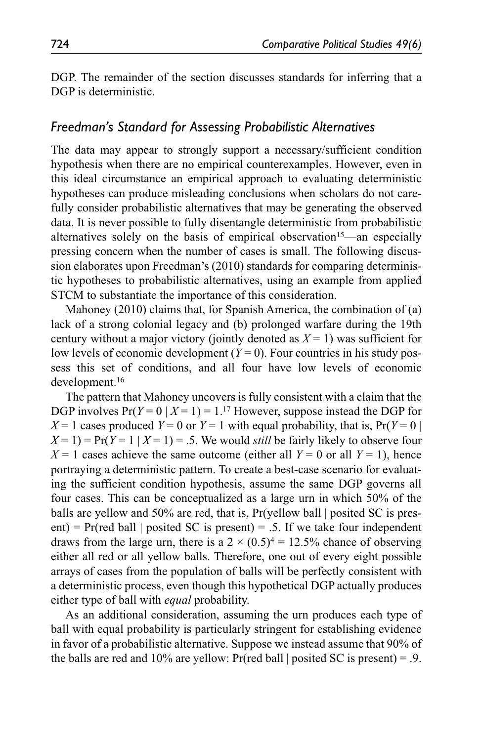DGP. The remainder of the section discusses standards for inferring that a DGP is deterministic.

#### *Freedman's Standard for Assessing Probabilistic Alternatives*

The data may appear to strongly support a necessary/sufficient condition hypothesis when there are no empirical counterexamples. However, even in this ideal circumstance an empirical approach to evaluating deterministic hypotheses can produce misleading conclusions when scholars do not carefully consider probabilistic alternatives that may be generating the observed data. It is never possible to fully disentangle deterministic from probabilistic alternatives solely on the basis of empirical observation<sup>15</sup>—an especially pressing concern when the number of cases is small. The following discussion elaborates upon Freedman's (2010) standards for comparing deterministic hypotheses to probabilistic alternatives, using an example from applied STCM to substantiate the importance of this consideration.

Mahoney (2010) claims that, for Spanish America, the combination of (a) lack of a strong colonial legacy and (b) prolonged warfare during the 19th century without a major victory (jointly denoted as  $X = 1$ ) was sufficient for low levels of economic development  $(Y=0)$ . Four countries in his study possess this set of conditions, and all four have low levels of economic development.16

The pattern that Mahoney uncovers is fully consistent with a claim that the DGP involves  $Pr(Y=0 | X=1) = 1.17$  However, suppose instead the DGP for  $X = 1$  cases produced  $Y = 0$  or  $Y = 1$  with equal probability, that is,  $Pr(Y = 0 | X = 1)$  $X=1$ ) =  $Pr(Y=1 | X=1)$  = .5. We would *still* be fairly likely to observe four  $X = 1$  cases achieve the same outcome (either all  $Y = 0$  or all  $Y = 1$ ), hence portraying a deterministic pattern. To create a best-case scenario for evaluating the sufficient condition hypothesis, assume the same DGP governs all four cases. This can be conceptualized as a large urn in which 50% of the balls are yellow and 50% are red, that is,  $Pr(y$ ellow ball posited SC is present) =  $Pr(\text{red ball} \mid \text{posited SC is present}) = .5$ . If we take four independent draws from the large urn, there is a  $2 \times (0.5)^4 = 12.5\%$  chance of observing either all red or all yellow balls. Therefore, one out of every eight possible arrays of cases from the population of balls will be perfectly consistent with a deterministic process, even though this hypothetical DGP actually produces either type of ball with *equal* probability.

As an additional consideration, assuming the urn produces each type of ball with equal probability is particularly stringent for establishing evidence in favor of a probabilistic alternative. Suppose we instead assume that 90% of the balls are red and 10% are yellow: Pr(red ball | posited SC is present) = .9.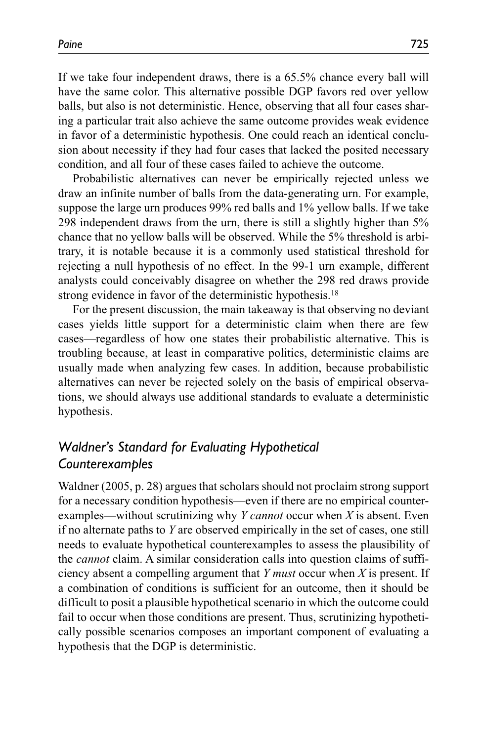If we take four independent draws, there is a 65.5% chance every ball will have the same color. This alternative possible DGP favors red over yellow balls, but also is not deterministic. Hence, observing that all four cases sharing a particular trait also achieve the same outcome provides weak evidence in favor of a deterministic hypothesis. One could reach an identical conclusion about necessity if they had four cases that lacked the posited necessary condition, and all four of these cases failed to achieve the outcome.

Probabilistic alternatives can never be empirically rejected unless we draw an infinite number of balls from the data-generating urn. For example, suppose the large urn produces 99% red balls and 1% yellow balls. If we take 298 independent draws from the urn, there is still a slightly higher than 5% chance that no yellow balls will be observed. While the 5% threshold is arbitrary, it is notable because it is a commonly used statistical threshold for rejecting a null hypothesis of no effect. In the 99-1 urn example, different analysts could conceivably disagree on whether the 298 red draws provide strong evidence in favor of the deterministic hypothesis.18

For the present discussion, the main takeaway is that observing no deviant cases yields little support for a deterministic claim when there are few cases—regardless of how one states their probabilistic alternative. This is troubling because, at least in comparative politics, deterministic claims are usually made when analyzing few cases. In addition, because probabilistic alternatives can never be rejected solely on the basis of empirical observations, we should always use additional standards to evaluate a deterministic hypothesis.

# *Waldner's Standard for Evaluating Hypothetical Counterexamples*

Waldner (2005, p. 28) argues that scholars should not proclaim strong support for a necessary condition hypothesis—even if there are no empirical counterexamples—without scrutinizing why *Y cannot* occur when *X* is absent. Even if no alternate paths to *Y* are observed empirically in the set of cases, one still needs to evaluate hypothetical counterexamples to assess the plausibility of the *cannot* claim. A similar consideration calls into question claims of sufficiency absent a compelling argument that *Y must* occur when *X* is present. If a combination of conditions is sufficient for an outcome, then it should be difficult to posit a plausible hypothetical scenario in which the outcome could fail to occur when those conditions are present. Thus, scrutinizing hypothetically possible scenarios composes an important component of evaluating a hypothesis that the DGP is deterministic.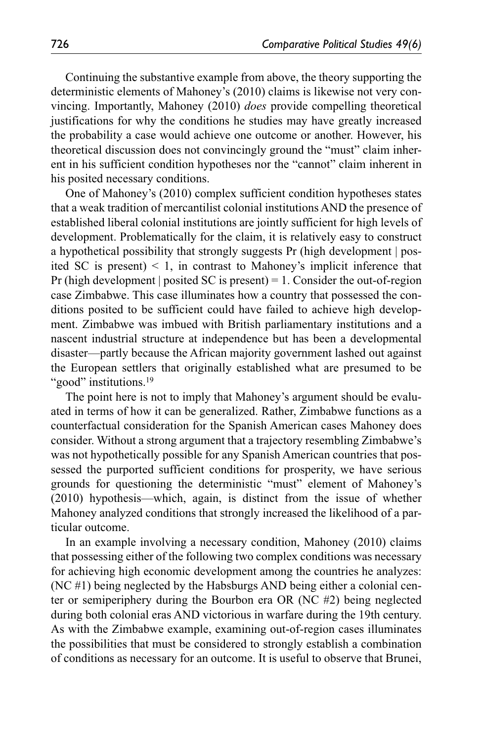Continuing the substantive example from above, the theory supporting the deterministic elements of Mahoney's (2010) claims is likewise not very convincing. Importantly, Mahoney (2010) *does* provide compelling theoretical justifications for why the conditions he studies may have greatly increased the probability a case would achieve one outcome or another. However, his theoretical discussion does not convincingly ground the "must" claim inherent in his sufficient condition hypotheses nor the "cannot" claim inherent in his posited necessary conditions.

One of Mahoney's (2010) complex sufficient condition hypotheses states that a weak tradition of mercantilist colonial institutions AND the presence of established liberal colonial institutions are jointly sufficient for high levels of development. Problematically for the claim, it is relatively easy to construct a hypothetical possibility that strongly suggests Pr (high development | posited SC is present)  $\leq 1$ , in contrast to Mahoney's implicit inference that Pr (high development | posited SC is present) = 1. Consider the out-of-region case Zimbabwe. This case illuminates how a country that possessed the conditions posited to be sufficient could have failed to achieve high development. Zimbabwe was imbued with British parliamentary institutions and a nascent industrial structure at independence but has been a developmental disaster—partly because the African majority government lashed out against the European settlers that originally established what are presumed to be "good" institutions.<sup>19</sup>

The point here is not to imply that Mahoney's argument should be evaluated in terms of how it can be generalized. Rather, Zimbabwe functions as a counterfactual consideration for the Spanish American cases Mahoney does consider. Without a strong argument that a trajectory resembling Zimbabwe's was not hypothetically possible for any Spanish American countries that possessed the purported sufficient conditions for prosperity, we have serious grounds for questioning the deterministic "must" element of Mahoney's (2010) hypothesis—which, again, is distinct from the issue of whether Mahoney analyzed conditions that strongly increased the likelihood of a particular outcome.

In an example involving a necessary condition, Mahoney (2010) claims that possessing either of the following two complex conditions was necessary for achieving high economic development among the countries he analyzes: (NC #1) being neglected by the Habsburgs AND being either a colonial center or semiperiphery during the Bourbon era OR (NC #2) being neglected during both colonial eras AND victorious in warfare during the 19th century. As with the Zimbabwe example, examining out-of-region cases illuminates the possibilities that must be considered to strongly establish a combination of conditions as necessary for an outcome. It is useful to observe that Brunei,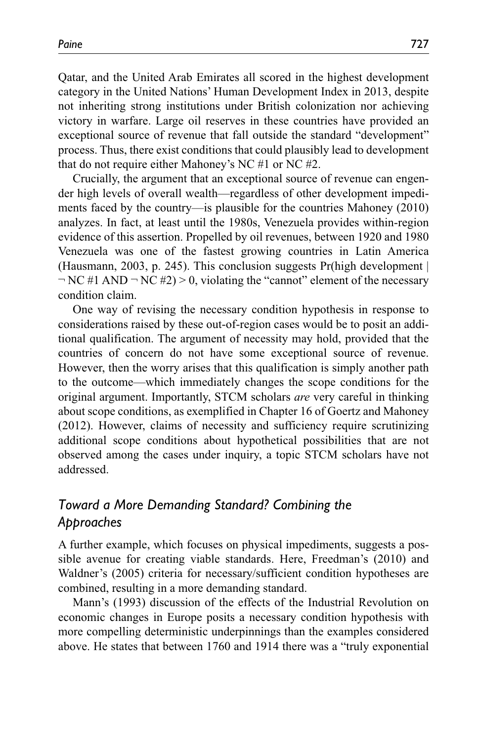Qatar, and the United Arab Emirates all scored in the highest development category in the United Nations' Human Development Index in 2013, despite not inheriting strong institutions under British colonization nor achieving victory in warfare. Large oil reserves in these countries have provided an exceptional source of revenue that fall outside the standard "development" process. Thus, there exist conditions that could plausibly lead to development that do not require either Mahoney's NC #1 or NC #2.

Crucially, the argument that an exceptional source of revenue can engender high levels of overall wealth—regardless of other development impediments faced by the country—is plausible for the countries Mahoney (2010) analyzes. In fact, at least until the 1980s, Venezuela provides within-region evidence of this assertion. Propelled by oil revenues, between 1920 and 1980 Venezuela was one of the fastest growing countries in Latin America (Hausmann, 2003, p. 245). This conclusion suggests Pr(high development |  $\neg$  NC #1 AND  $\neg$  NC #2)  $> 0$ , violating the "cannot" element of the necessary condition claim.

One way of revising the necessary condition hypothesis in response to considerations raised by these out-of-region cases would be to posit an additional qualification. The argument of necessity may hold, provided that the countries of concern do not have some exceptional source of revenue. However, then the worry arises that this qualification is simply another path to the outcome—which immediately changes the scope conditions for the original argument. Importantly, STCM scholars *are* very careful in thinking about scope conditions, as exemplified in Chapter 16 of Goertz and Mahoney (2012). However, claims of necessity and sufficiency require scrutinizing additional scope conditions about hypothetical possibilities that are not observed among the cases under inquiry, a topic STCM scholars have not addressed.

# *Toward a More Demanding Standard? Combining the Approaches*

A further example, which focuses on physical impediments, suggests a possible avenue for creating viable standards. Here, Freedman's (2010) and Waldner's (2005) criteria for necessary/sufficient condition hypotheses are combined, resulting in a more demanding standard.

Mann's (1993) discussion of the effects of the Industrial Revolution on economic changes in Europe posits a necessary condition hypothesis with more compelling deterministic underpinnings than the examples considered above. He states that between 1760 and 1914 there was a "truly exponential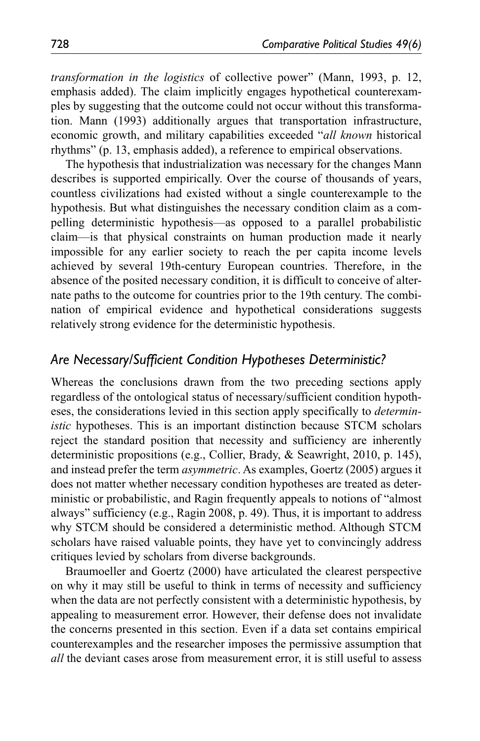*transformation in the logistics* of collective power" (Mann, 1993, p. 12, emphasis added). The claim implicitly engages hypothetical counterexamples by suggesting that the outcome could not occur without this transformation. Mann (1993) additionally argues that transportation infrastructure, economic growth, and military capabilities exceeded "*all known* historical rhythms" (p. 13, emphasis added), a reference to empirical observations.

The hypothesis that industrialization was necessary for the changes Mann describes is supported empirically. Over the course of thousands of years, countless civilizations had existed without a single counterexample to the hypothesis. But what distinguishes the necessary condition claim as a compelling deterministic hypothesis—as opposed to a parallel probabilistic claim—is that physical constraints on human production made it nearly impossible for any earlier society to reach the per capita income levels achieved by several 19th-century European countries. Therefore, in the absence of the posited necessary condition, it is difficult to conceive of alternate paths to the outcome for countries prior to the 19th century. The combination of empirical evidence and hypothetical considerations suggests relatively strong evidence for the deterministic hypothesis.

### *Are Necessary/Sufficient Condition Hypotheses Deterministic?*

Whereas the conclusions drawn from the two preceding sections apply regardless of the ontological status of necessary/sufficient condition hypotheses, the considerations levied in this section apply specifically to *deterministic* hypotheses. This is an important distinction because STCM scholars reject the standard position that necessity and sufficiency are inherently deterministic propositions (e.g., Collier, Brady, & Seawright, 2010, p. 145), and instead prefer the term *asymmetric*. As examples, Goertz (2005) argues it does not matter whether necessary condition hypotheses are treated as deterministic or probabilistic, and Ragin frequently appeals to notions of "almost always" sufficiency (e.g., Ragin 2008, p. 49). Thus, it is important to address why STCM should be considered a deterministic method. Although STCM scholars have raised valuable points, they have yet to convincingly address critiques levied by scholars from diverse backgrounds.

Braumoeller and Goertz (2000) have articulated the clearest perspective on why it may still be useful to think in terms of necessity and sufficiency when the data are not perfectly consistent with a deterministic hypothesis, by appealing to measurement error. However, their defense does not invalidate the concerns presented in this section. Even if a data set contains empirical counterexamples and the researcher imposes the permissive assumption that *all* the deviant cases arose from measurement error, it is still useful to assess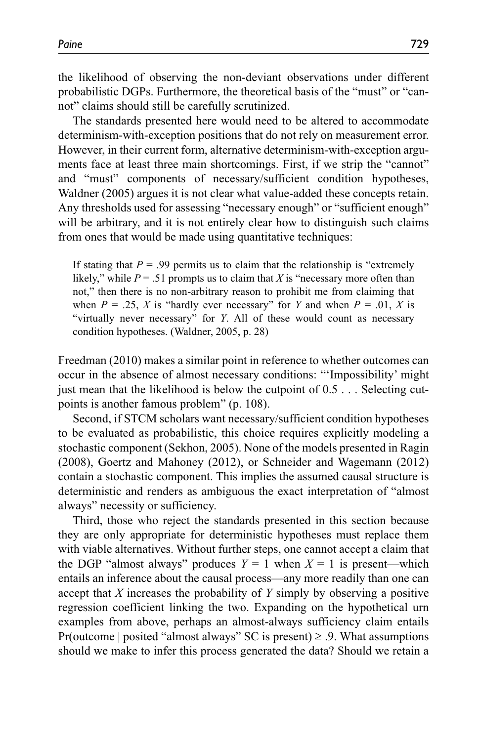the likelihood of observing the non-deviant observations under different probabilistic DGPs. Furthermore, the theoretical basis of the "must" or "cannot" claims should still be carefully scrutinized.

The standards presented here would need to be altered to accommodate determinism-with-exception positions that do not rely on measurement error. However, in their current form, alternative determinism-with-exception arguments face at least three main shortcomings. First, if we strip the "cannot" and "must" components of necessary/sufficient condition hypotheses, Waldner (2005) argues it is not clear what value-added these concepts retain. Any thresholds used for assessing "necessary enough" or "sufficient enough" will be arbitrary, and it is not entirely clear how to distinguish such claims from ones that would be made using quantitative techniques:

If stating that  $P = .99$  permits us to claim that the relationship is "extremely" likely," while  $P = 0.51$  prompts us to claim that *X* is "necessary more often than not," then there is no non-arbitrary reason to prohibit me from claiming that when  $P = 0.25$ , *X* is "hardly ever necessary" for *Y* and when  $P = 0.01$ , *X* is "virtually never necessary" for *Y*. All of these would count as necessary condition hypotheses. (Waldner, 2005, p. 28)

Freedman (2010) makes a similar point in reference to whether outcomes can occur in the absence of almost necessary conditions: "'Impossibility' might just mean that the likelihood is below the cutpoint of 0.5 . . . Selecting cutpoints is another famous problem" (p. 108).

Second, if STCM scholars want necessary/sufficient condition hypotheses to be evaluated as probabilistic, this choice requires explicitly modeling a stochastic component (Sekhon, 2005). None of the models presented in Ragin (2008), Goertz and Mahoney (2012), or Schneider and Wagemann (2012) contain a stochastic component. This implies the assumed causal structure is deterministic and renders as ambiguous the exact interpretation of "almost always" necessity or sufficiency.

Third, those who reject the standards presented in this section because they are only appropriate for deterministic hypotheses must replace them with viable alternatives. Without further steps, one cannot accept a claim that the DGP "almost always" produces  $Y = 1$  when  $X = 1$  is present—which entails an inference about the causal process—any more readily than one can accept that *X* increases the probability of *Y* simply by observing a positive regression coefficient linking the two. Expanding on the hypothetical urn examples from above, perhaps an almost-always sufficiency claim entails Pr(outcome | posited "almost always" SC is present)  $\geq$  .9. What assumptions should we make to infer this process generated the data? Should we retain a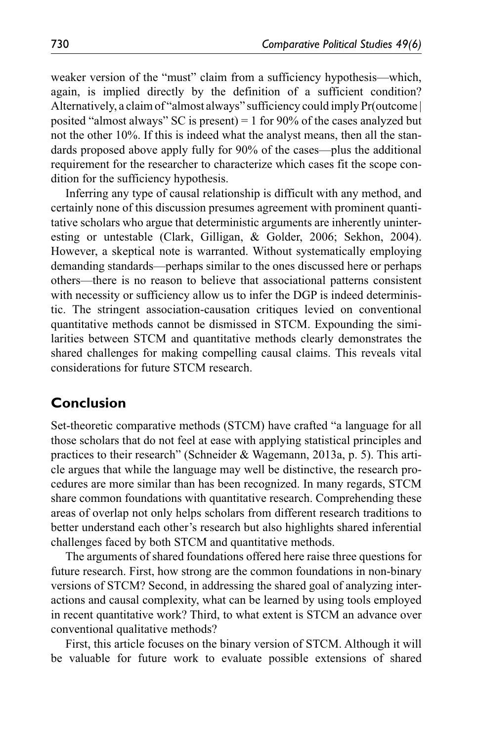weaker version of the "must" claim from a sufficiency hypothesis—which, again, is implied directly by the definition of a sufficient condition? Alternatively, a claim of "almost always" sufficiency could imply Pr(outcome | posited "almost always" SC is present) = 1 for 90% of the cases analyzed but not the other 10%. If this is indeed what the analyst means, then all the standards proposed above apply fully for 90% of the cases—plus the additional requirement for the researcher to characterize which cases fit the scope condition for the sufficiency hypothesis.

Inferring any type of causal relationship is difficult with any method, and certainly none of this discussion presumes agreement with prominent quantitative scholars who argue that deterministic arguments are inherently uninteresting or untestable (Clark, Gilligan, & Golder, 2006; Sekhon, 2004). However, a skeptical note is warranted. Without systematically employing demanding standards—perhaps similar to the ones discussed here or perhaps others—there is no reason to believe that associational patterns consistent with necessity or sufficiency allow us to infer the DGP is indeed deterministic. The stringent association-causation critiques levied on conventional quantitative methods cannot be dismissed in STCM. Expounding the similarities between STCM and quantitative methods clearly demonstrates the shared challenges for making compelling causal claims. This reveals vital considerations for future STCM research.

### **Conclusion**

Set-theoretic comparative methods (STCM) have crafted "a language for all those scholars that do not feel at ease with applying statistical principles and practices to their research" (Schneider & Wagemann, 2013a, p. 5). This article argues that while the language may well be distinctive, the research procedures are more similar than has been recognized. In many regards, STCM share common foundations with quantitative research. Comprehending these areas of overlap not only helps scholars from different research traditions to better understand each other's research but also highlights shared inferential challenges faced by both STCM and quantitative methods.

The arguments of shared foundations offered here raise three questions for future research. First, how strong are the common foundations in non-binary versions of STCM? Second, in addressing the shared goal of analyzing interactions and causal complexity, what can be learned by using tools employed in recent quantitative work? Third, to what extent is STCM an advance over conventional qualitative methods?

First, this article focuses on the binary version of STCM. Although it will be valuable for future work to evaluate possible extensions of shared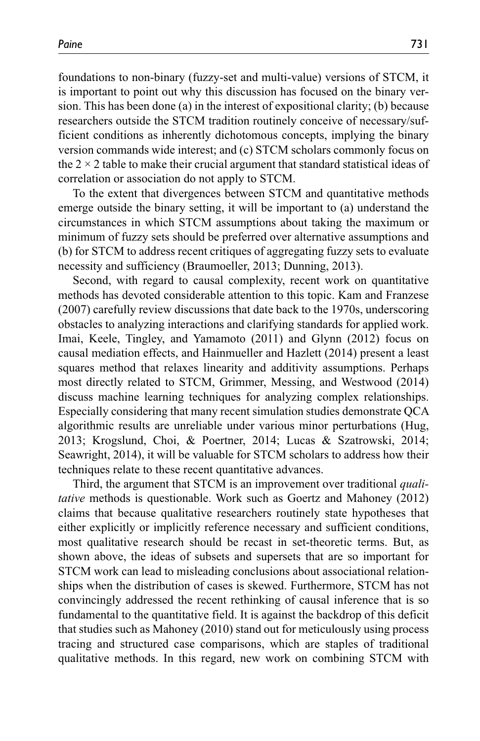foundations to non-binary (fuzzy-set and multi-value) versions of STCM, it is important to point out why this discussion has focused on the binary version. This has been done (a) in the interest of expositional clarity; (b) because researchers outside the STCM tradition routinely conceive of necessary/sufficient conditions as inherently dichotomous concepts, implying the binary version commands wide interest; and (c) STCM scholars commonly focus on the  $2 \times 2$  table to make their crucial argument that standard statistical ideas of correlation or association do not apply to STCM.

To the extent that divergences between STCM and quantitative methods emerge outside the binary setting, it will be important to (a) understand the circumstances in which STCM assumptions about taking the maximum or minimum of fuzzy sets should be preferred over alternative assumptions and (b) for STCM to address recent critiques of aggregating fuzzy sets to evaluate necessity and sufficiency (Braumoeller, 2013; Dunning, 2013).

Second, with regard to causal complexity, recent work on quantitative methods has devoted considerable attention to this topic. Kam and Franzese (2007) carefully review discussions that date back to the 1970s, underscoring obstacles to analyzing interactions and clarifying standards for applied work. Imai, Keele, Tingley, and Yamamoto (2011) and Glynn (2012) focus on causal mediation effects, and Hainmueller and Hazlett (2014) present a least squares method that relaxes linearity and additivity assumptions. Perhaps most directly related to STCM, Grimmer, Messing, and Westwood (2014) discuss machine learning techniques for analyzing complex relationships. Especially considering that many recent simulation studies demonstrate QCA algorithmic results are unreliable under various minor perturbations (Hug, 2013; Krogslund, Choi, & Poertner, 2014; Lucas & Szatrowski, 2014; Seawright, 2014), it will be valuable for STCM scholars to address how their techniques relate to these recent quantitative advances.

Third, the argument that STCM is an improvement over traditional *qualitative* methods is questionable. Work such as Goertz and Mahoney (2012) claims that because qualitative researchers routinely state hypotheses that either explicitly or implicitly reference necessary and sufficient conditions, most qualitative research should be recast in set-theoretic terms. But, as shown above, the ideas of subsets and supersets that are so important for STCM work can lead to misleading conclusions about associational relationships when the distribution of cases is skewed. Furthermore, STCM has not convincingly addressed the recent rethinking of causal inference that is so fundamental to the quantitative field. It is against the backdrop of this deficit that studies such as Mahoney (2010) stand out for meticulously using process tracing and structured case comparisons, which are staples of traditional qualitative methods. In this regard, new work on combining STCM with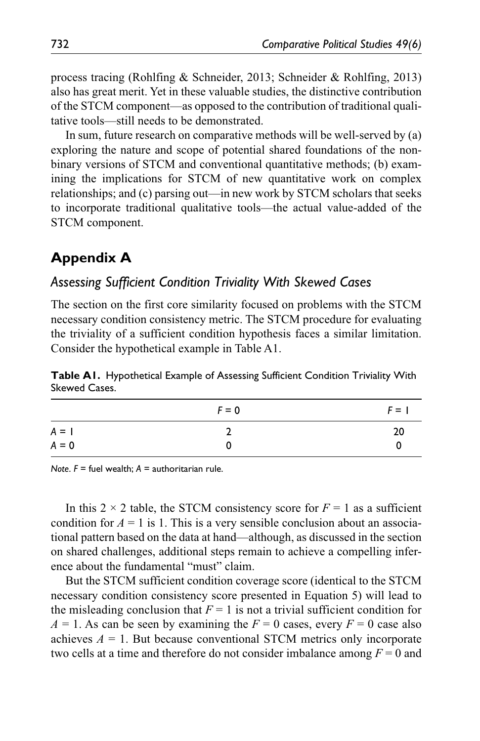process tracing (Rohlfing & Schneider, 2013; Schneider & Rohlfing, 2013) also has great merit. Yet in these valuable studies, the distinctive contribution of the STCM component—as opposed to the contribution of traditional qualitative tools—still needs to be demonstrated.

In sum, future research on comparative methods will be well-served by (a) exploring the nature and scope of potential shared foundations of the nonbinary versions of STCM and conventional quantitative methods; (b) examining the implications for STCM of new quantitative work on complex relationships; and (c) parsing out—in new work by STCM scholars that seeks to incorporate traditional qualitative tools—the actual value-added of the STCM component.

# **Appendix A**

### *Assessing Sufficient Condition Triviality With Skewed Cases*

The section on the first core similarity focused on problems with the STCM necessary condition consistency metric. The STCM procedure for evaluating the triviality of a sufficient condition hypothesis faces a similar limitation. Consider the hypothetical example in Table A1.

**Table A1.** Hypothetical Example of Assessing Sufficient Condition Triviality With Skewed Cases.

|         | $F = 0$ | $F = 1$ |
|---------|---------|---------|
| $A = I$ |         | 20      |
| $A = 0$ |         | 0       |

*Note*. *F* = fuel wealth; *A* = authoritarian rule.

In this 2  $\times$  2 table, the STCM consistency score for  $F = 1$  as a sufficient condition for  $A = 1$  is 1. This is a very sensible conclusion about an associational pattern based on the data at hand—although, as discussed in the section on shared challenges, additional steps remain to achieve a compelling inference about the fundamental "must" claim.

But the STCM sufficient condition coverage score (identical to the STCM necessary condition consistency score presented in Equation 5) will lead to the misleading conclusion that  $F = 1$  is not a trivial sufficient condition for  $A = 1$ . As can be seen by examining the  $F = 0$  cases, every  $F = 0$  case also achieves  $A = 1$ . But because conventional STCM metrics only incorporate two cells at a time and therefore do not consider imbalance among *F* = 0 and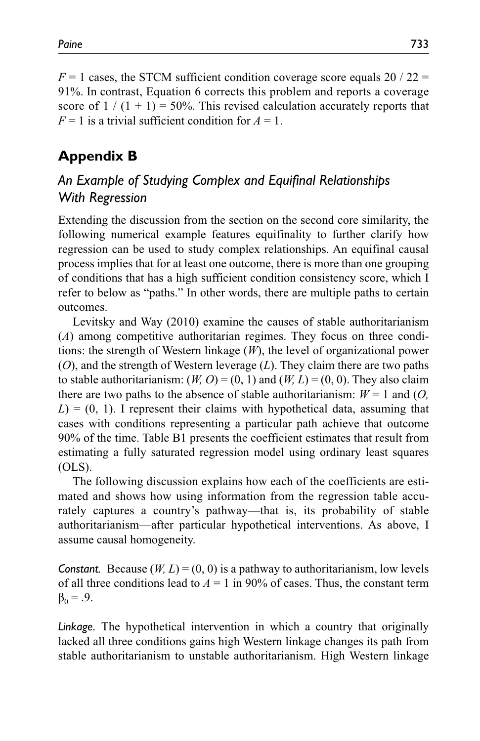$F = 1$  cases, the STCM sufficient condition coverage score equals 20 / 22 = 91%. In contrast, Equation 6 corrects this problem and reports a coverage score of  $1/(1 + 1) = 50\%$ . This revised calculation accurately reports that  $F = 1$  is a trivial sufficient condition for  $A = 1$ .

# **Appendix B**

# *An Example of Studying Complex and Equifinal Relationships With Regression*

Extending the discussion from the section on the second core similarity, the following numerical example features equifinality to further clarify how regression can be used to study complex relationships. An equifinal causal process implies that for at least one outcome, there is more than one grouping of conditions that has a high sufficient condition consistency score, which I refer to below as "paths." In other words, there are multiple paths to certain outcomes.

Levitsky and Way (2010) examine the causes of stable authoritarianism (*A*) among competitive authoritarian regimes. They focus on three conditions: the strength of Western linkage (*W*), the level of organizational power (*O*), and the strength of Western leverage (*L*). They claim there are two paths to stable authoritarianism:  $(W, O) = (0, 1)$  and  $(W, L) = (0, 0)$ . They also claim there are two paths to the absence of stable authoritarianism:  $W = 1$  and  $(O, \mathcal{O})$  $L = (0, 1)$ . I represent their claims with hypothetical data, assuming that cases with conditions representing a particular path achieve that outcome 90% of the time. Table B1 presents the coefficient estimates that result from estimating a fully saturated regression model using ordinary least squares (OLS).

The following discussion explains how each of the coefficients are estimated and shows how using information from the regression table accurately captures a country's pathway—that is, its probability of stable authoritarianism—after particular hypothetical interventions. As above, I assume causal homogeneity.

*Constant.* Because  $(W, L) = (0, 0)$  is a pathway to authoritarianism, low levels of all three conditions lead to  $A = 1$  in 90% of cases. Thus, the constant term  $β_0 = .9$ .

*Linkage.* The hypothetical intervention in which a country that originally lacked all three conditions gains high Western linkage changes its path from stable authoritarianism to unstable authoritarianism. High Western linkage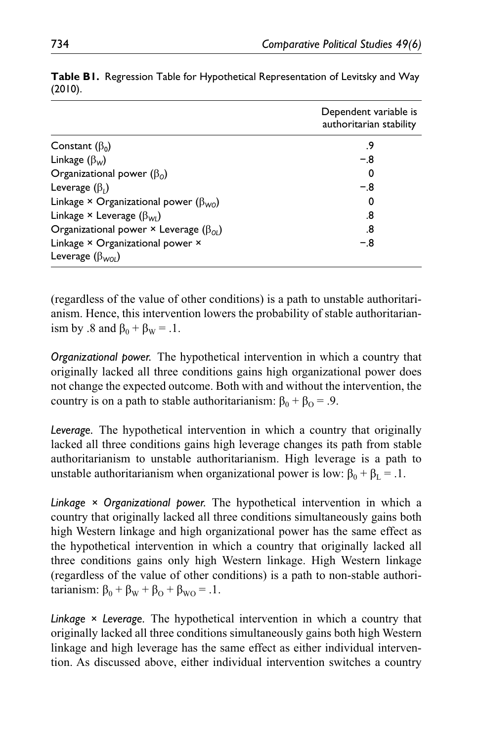|                                                              | Dependent variable is<br>authoritarian stability |
|--------------------------------------------------------------|--------------------------------------------------|
| Constant $(\beta_0)$                                         | .9                                               |
| Linkage $(\beta_w)$                                          | $-.8$                                            |
| Organizational power $(\beta_0)$                             | 0                                                |
| Leverage $(\beta_i)$                                         | $-.8$                                            |
| Linkage × Organizational power ( $\beta_{\text{WO}}$ )       | 0                                                |
| Linkage $\times$ Leverage ( $\beta_{\text{WI}}$ )            | .8                                               |
| Organizational power $\times$ Leverage ( $\beta_{0l}$ )      | .8                                               |
| Linkage × Organizational power ×<br>Leverage $(\beta_{WOL})$ | $-.8$                                            |

|         |  |  | Table BI. Regression Table for Hypothetical Representation of Levitsky and Way |  |
|---------|--|--|--------------------------------------------------------------------------------|--|
| (2010). |  |  |                                                                                |  |

(regardless of the value of other conditions) is a path to unstable authoritarianism. Hence, this intervention lowers the probability of stable authoritarianism by .8 and  $\beta_0 + \beta_w = .1$ .

*Organizational power.* The hypothetical intervention in which a country that originally lacked all three conditions gains high organizational power does not change the expected outcome. Both with and without the intervention, the country is on a path to stable authoritarianism:  $β_0 + β_0 = .9$ .

*Leverage.* The hypothetical intervention in which a country that originally lacked all three conditions gains high leverage changes its path from stable authoritarianism to unstable authoritarianism. High leverage is a path to unstable authoritarianism when organizational power is low:  $β_0 + β_1 = .1$ .

*Linkage × Organizational power.* The hypothetical intervention in which a country that originally lacked all three conditions simultaneously gains both high Western linkage and high organizational power has the same effect as the hypothetical intervention in which a country that originally lacked all three conditions gains only high Western linkage. High Western linkage (regardless of the value of other conditions) is a path to non-stable authoritarianism:  $\beta_0 + \beta_w + \beta_o + \beta_{wo} = .1$ .

*Linkage × Leverage.* The hypothetical intervention in which a country that originally lacked all three conditions simultaneously gains both high Western linkage and high leverage has the same effect as either individual intervention. As discussed above, either individual intervention switches a country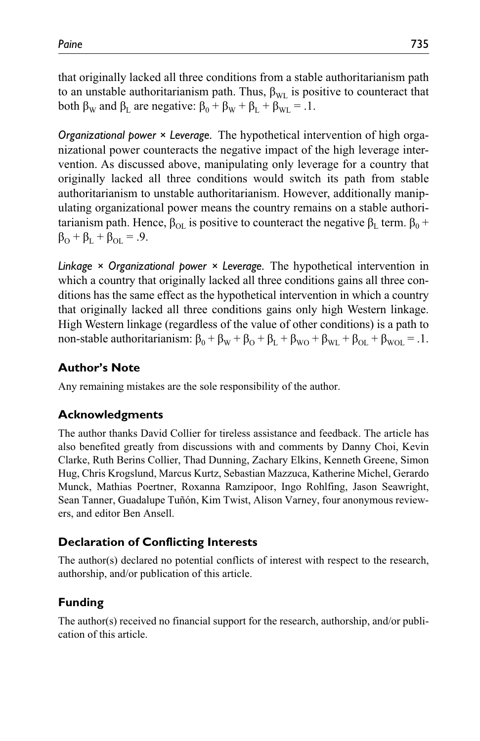that originally lacked all three conditions from a stable authoritarianism path to an unstable authoritarianism path. Thus,  $\beta_{\text{WI}}$  is positive to counteract that both  $\beta_{\rm w}$  and  $\beta_{\rm L}$  are negative:  $\beta_{\rm 0} + \beta_{\rm w} + \beta_{\rm L} + \beta_{\rm wL} = .1$ .

*Organizational power × Leverage.* The hypothetical intervention of high organizational power counteracts the negative impact of the high leverage intervention. As discussed above, manipulating only leverage for a country that originally lacked all three conditions would switch its path from stable authoritarianism to unstable authoritarianism. However, additionally manipulating organizational power means the country remains on a stable authoritarianism path. Hence,  $β_{\text{O}L}$  is positive to counteract the negative  $β_{\text{L}}$  term.  $β_{\text{O}}$  +  $\beta_{\text{O}} + \beta_{\text{L}} + \beta_{\text{OL}} = .9.$ 

*Linkage × Organizational power × Leverage.* The hypothetical intervention in which a country that originally lacked all three conditions gains all three conditions has the same effect as the hypothetical intervention in which a country that originally lacked all three conditions gains only high Western linkage. High Western linkage (regardless of the value of other conditions) is a path to non-stable authoritarianism:  $\beta_0 + \beta_W + \beta_O + \beta_L + \beta_{WO} + \beta_{WL} + \beta_{OL} + \beta_{WOL} = 0.1$ .

# **Author's Note**

Any remaining mistakes are the sole responsibility of the author.

# **Acknowledgments**

The author thanks David Collier for tireless assistance and feedback. The article has also benefited greatly from discussions with and comments by Danny Choi, Kevin Clarke, Ruth Berins Collier, Thad Dunning, Zachary Elkins, Kenneth Greene, Simon Hug, Chris Krogslund, Marcus Kurtz, Sebastian Mazzuca, Katherine Michel, Gerardo Munck, Mathias Poertner, Roxanna Ramzipoor, Ingo Rohlfing, Jason Seawright, Sean Tanner, Guadalupe Tuñón, Kim Twist, Alison Varney, four anonymous reviewers, and editor Ben Ansell.

### **Declaration of Conflicting Interests**

The author(s) declared no potential conflicts of interest with respect to the research, authorship, and/or publication of this article.

### **Funding**

The author(s) received no financial support for the research, authorship, and/or publication of this article.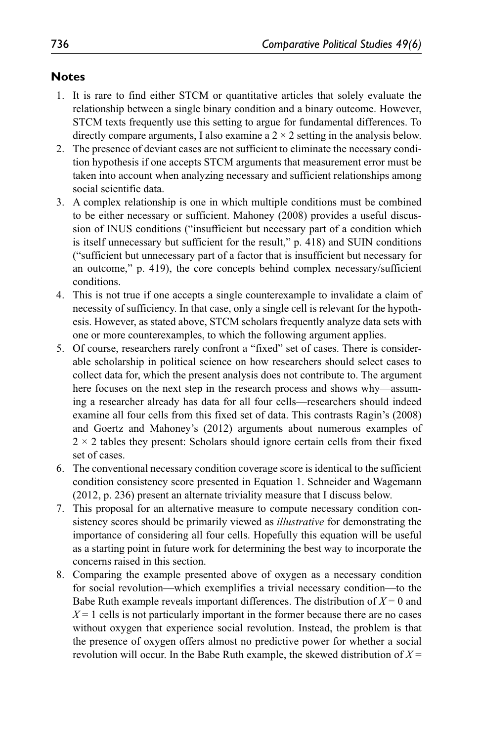### **Notes**

- 1. It is rare to find either STCM or quantitative articles that solely evaluate the relationship between a single binary condition and a binary outcome. However, STCM texts frequently use this setting to argue for fundamental differences. To directly compare arguments, I also examine a  $2 \times 2$  setting in the analysis below.
- 2. The presence of deviant cases are not sufficient to eliminate the necessary condition hypothesis if one accepts STCM arguments that measurement error must be taken into account when analyzing necessary and sufficient relationships among social scientific data.
- 3. A complex relationship is one in which multiple conditions must be combined to be either necessary or sufficient. Mahoney (2008) provides a useful discussion of INUS conditions ("insufficient but necessary part of a condition which is itself unnecessary but sufficient for the result," p. 418) and SUIN conditions ("sufficient but unnecessary part of a factor that is insufficient but necessary for an outcome," p. 419), the core concepts behind complex necessary/sufficient conditions.
- 4. This is not true if one accepts a single counterexample to invalidate a claim of necessity of sufficiency. In that case, only a single cell is relevant for the hypothesis. However, as stated above, STCM scholars frequently analyze data sets with one or more counterexamples, to which the following argument applies.
- 5. Of course, researchers rarely confront a "fixed" set of cases. There is considerable scholarship in political science on how researchers should select cases to collect data for, which the present analysis does not contribute to. The argument here focuses on the next step in the research process and shows why—assuming a researcher already has data for all four cells—researchers should indeed examine all four cells from this fixed set of data. This contrasts Ragin's (2008) and Goertz and Mahoney's (2012) arguments about numerous examples of  $2 \times 2$  tables they present: Scholars should ignore certain cells from their fixed set of cases.
- 6. The conventional necessary condition coverage score is identical to the sufficient condition consistency score presented in Equation 1. Schneider and Wagemann (2012, p. 236) present an alternate triviality measure that I discuss below.
- 7. This proposal for an alternative measure to compute necessary condition consistency scores should be primarily viewed as *illustrative* for demonstrating the importance of considering all four cells. Hopefully this equation will be useful as a starting point in future work for determining the best way to incorporate the concerns raised in this section.
- 8. Comparing the example presented above of oxygen as a necessary condition for social revolution—which exemplifies a trivial necessary condition—to the Babe Ruth example reveals important differences. The distribution of *X* = 0 and  $X = 1$  cells is not particularly important in the former because there are no cases without oxygen that experience social revolution. Instead, the problem is that the presence of oxygen offers almost no predictive power for whether a social revolution will occur. In the Babe Ruth example, the skewed distribution of  $X =$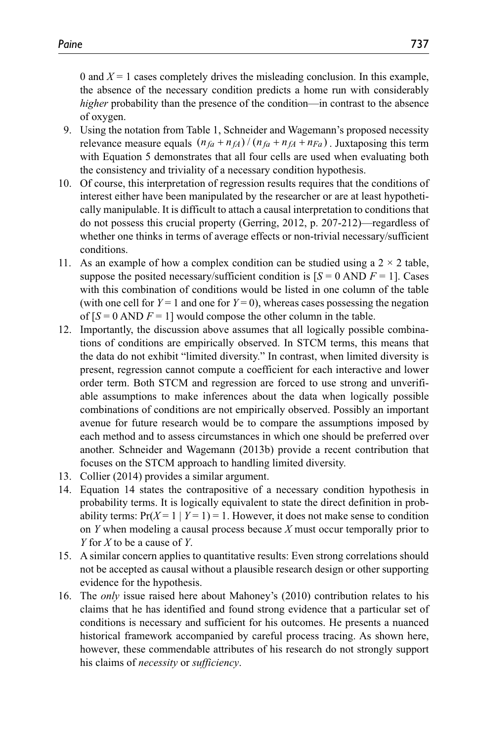0 and  $X = 1$  cases completely drives the misleading conclusion. In this example, the absence of the necessary condition predicts a home run with considerably *higher* probability than the presence of the condition—in contrast to the absence of oxygen.

- 9. Using the notation from Table 1, Schneider and Wagemann's proposed necessity relevance measure equals  $(n_{fa} + n_{fA})/(n_{fa} + n_{fa} + n_{Fa})$ . Juxtaposing this term with Equation 5 demonstrates that all four cells are used when evaluating both the consistency and triviality of a necessary condition hypothesis.
- 10. Of course, this interpretation of regression results requires that the conditions of interest either have been manipulated by the researcher or are at least hypothetically manipulable. It is difficult to attach a causal interpretation to conditions that do not possess this crucial property (Gerring, 2012, p. 207-212)—regardless of whether one thinks in terms of average effects or non-trivial necessary/sufficient conditions.
- 11. As an example of how a complex condition can be studied using a  $2 \times 2$  table, suppose the posited necessary/sufficient condition is  $[S = 0 \text{ AND } F = 1]$ . Cases with this combination of conditions would be listed in one column of the table (with one cell for  $Y = 1$  and one for  $Y = 0$ ), whereas cases possessing the negation of  $[S = 0$  AND  $F = 1$ ] would compose the other column in the table.
- 12. Importantly, the discussion above assumes that all logically possible combinations of conditions are empirically observed. In STCM terms, this means that the data do not exhibit "limited diversity." In contrast, when limited diversity is present, regression cannot compute a coefficient for each interactive and lower order term. Both STCM and regression are forced to use strong and unverifiable assumptions to make inferences about the data when logically possible combinations of conditions are not empirically observed. Possibly an important avenue for future research would be to compare the assumptions imposed by each method and to assess circumstances in which one should be preferred over another. Schneider and Wagemann (2013b) provide a recent contribution that focuses on the STCM approach to handling limited diversity.
- 13. Collier (2014) provides a similar argument.
- 14. Equation 14 states the contrapositive of a necessary condition hypothesis in probability terms. It is logically equivalent to state the direct definition in probability terms:  $Pr(X=1 | Y=1) = 1$ . However, it does not make sense to condition on *Y* when modeling a causal process because *X* must occur temporally prior to *Y* for *X* to be a cause of *Y*.
- 15. A similar concern applies to quantitative results: Even strong correlations should not be accepted as causal without a plausible research design or other supporting evidence for the hypothesis.
- 16. The *only* issue raised here about Mahoney's (2010) contribution relates to his claims that he has identified and found strong evidence that a particular set of conditions is necessary and sufficient for his outcomes. He presents a nuanced historical framework accompanied by careful process tracing. As shown here, however, these commendable attributes of his research do not strongly support his claims of *necessity* or *sufficiency*.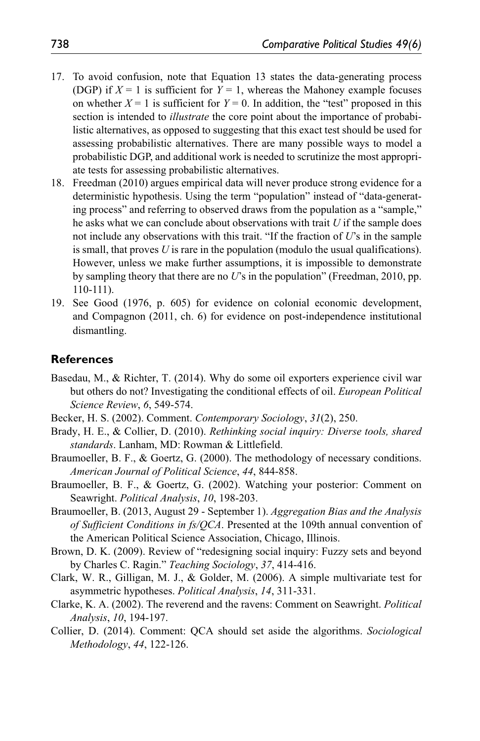- 17. To avoid confusion, note that Equation 13 states the data-generating process (DGP) if  $X = 1$  is sufficient for  $Y = 1$ , whereas the Mahoney example focuses on whether  $X = 1$  is sufficient for  $Y = 0$ . In addition, the "test" proposed in this section is intended to *illustrate* the core point about the importance of probabilistic alternatives, as opposed to suggesting that this exact test should be used for assessing probabilistic alternatives. There are many possible ways to model a probabilistic DGP, and additional work is needed to scrutinize the most appropriate tests for assessing probabilistic alternatives.
- 18. Freedman (2010) argues empirical data will never produce strong evidence for a deterministic hypothesis. Using the term "population" instead of "data-generating process" and referring to observed draws from the population as a "sample," he asks what we can conclude about observations with trait *U* if the sample does not include any observations with this trait. "If the fraction of *U*'s in the sample is small, that proves *U* is rare in the population (modulo the usual qualifications). However, unless we make further assumptions, it is impossible to demonstrate by sampling theory that there are no *U*'s in the population" (Freedman, 2010, pp. 110-111).
- 19. See Good (1976, p. 605) for evidence on colonial economic development, and Compagnon (2011, ch. 6) for evidence on post-independence institutional dismantling.

#### **References**

- Basedau, M., & Richter, T. (2014). Why do some oil exporters experience civil war but others do not? Investigating the conditional effects of oil. *European Political Science Review*, *6*, 549-574.
- Becker, H. S. (2002). Comment. *Contemporary Sociology*, *31*(2), 250.
- Brady, H. E., & Collier, D. (2010). *Rethinking social inquiry: Diverse tools, shared standards*. Lanham, MD: Rowman & Littlefield.
- Braumoeller, B. F., & Goertz, G. (2000). The methodology of necessary conditions. *American Journal of Political Science*, *44*, 844-858.
- Braumoeller, B. F., & Goertz, G. (2002). Watching your posterior: Comment on Seawright. *Political Analysis*, *10*, 198-203.
- Braumoeller, B. (2013, August 29 September 1). *Aggregation Bias and the Analysis of Sufficient Conditions in fs/QCA*. Presented at the 109th annual convention of the American Political Science Association, Chicago, Illinois.
- Brown, D. K. (2009). Review of "redesigning social inquiry: Fuzzy sets and beyond by Charles C. Ragin." *Teaching Sociology*, *37*, 414-416.
- Clark, W. R., Gilligan, M. J., & Golder, M. (2006). A simple multivariate test for asymmetric hypotheses. *Political Analysis*, *14*, 311-331.
- Clarke, K. A. (2002). The reverend and the ravens: Comment on Seawright. *Political Analysis*, *10*, 194-197.
- Collier, D. (2014). Comment: QCA should set aside the algorithms. *Sociological Methodology*, *44*, 122-126.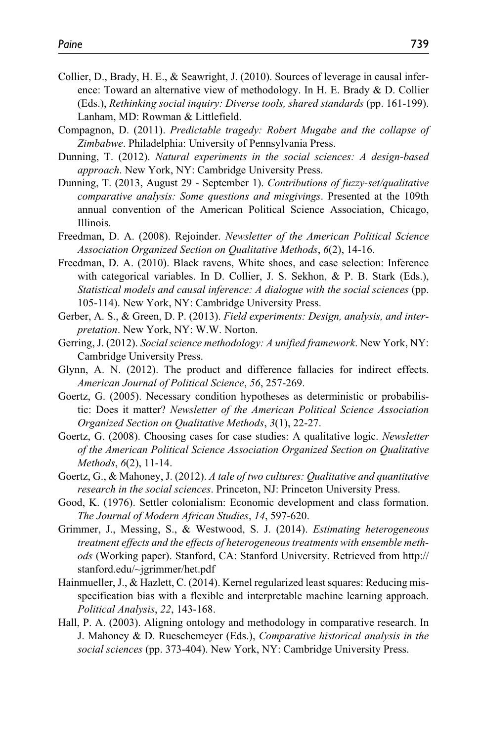- Collier, D., Brady, H. E., & Seawright, J. (2010). Sources of leverage in causal inference: Toward an alternative view of methodology. In H. E. Brady & D. Collier (Eds.), *Rethinking social inquiry: Diverse tools, shared standards* (pp. 161-199). Lanham, MD: Rowman & Littlefield.
- Compagnon, D. (2011). *Predictable tragedy: Robert Mugabe and the collapse of Zimbabwe*. Philadelphia: University of Pennsylvania Press.
- Dunning, T. (2012). *Natural experiments in the social sciences: A design-based approach*. New York, NY: Cambridge University Press.
- Dunning, T. (2013, August 29 September 1). *Contributions of fuzzy-set/qualitative comparative analysis: Some questions and misgivings*. Presented at the 109th annual convention of the American Political Science Association, Chicago, Illinois.
- Freedman, D. A. (2008). Rejoinder. *Newsletter of the American Political Science Association Organized Section on Qualitative Methods*, *6*(2), 14-16.
- Freedman, D. A. (2010). Black ravens, White shoes, and case selection: Inference with categorical variables. In D. Collier, J. S. Sekhon, & P. B. Stark (Eds.), *Statistical models and causal inference: A dialogue with the social sciences* (pp. 105-114). New York, NY: Cambridge University Press.
- Gerber, A. S., & Green, D. P. (2013). *Field experiments: Design, analysis, and interpretation*. New York, NY: W.W. Norton.
- Gerring, J. (2012). *Social science methodology: A unified framework*. New York, NY: Cambridge University Press.
- Glynn, A. N. (2012). The product and difference fallacies for indirect effects. *American Journal of Political Science*, *56*, 257-269.
- Goertz, G. (2005). Necessary condition hypotheses as deterministic or probabilistic: Does it matter? *Newsletter of the American Political Science Association Organized Section on Qualitative Methods*, *3*(1), 22-27.
- Goertz, G. (2008). Choosing cases for case studies: A qualitative logic. *Newsletter of the American Political Science Association Organized Section on Qualitative Methods*, *6*(2), 11-14.
- Goertz, G., & Mahoney, J. (2012). *A tale of two cultures: Qualitative and quantitative research in the social sciences*. Princeton, NJ: Princeton University Press.
- Good, K. (1976). Settler colonialism: Economic development and class formation. *The Journal of Modern African Studies*, *14*, 597-620.
- Grimmer, J., Messing, S., & Westwood, S. J. (2014). *Estimating heterogeneous treatment effects and the effects of heterogeneous treatments with ensemble methods* (Working paper). Stanford, CA: Stanford University. Retrieved from http:// stanford.edu/~jgrimmer/het.pdf
- Hainmueller, J., & Hazlett, C. (2014). Kernel regularized least squares: Reducing misspecification bias with a flexible and interpretable machine learning approach. *Political Analysis*, *22*, 143-168.
- Hall, P. A. (2003). Aligning ontology and methodology in comparative research. In J. Mahoney & D. Rueschemeyer (Eds.), *Comparative historical analysis in the social sciences* (pp. 373-404). New York, NY: Cambridge University Press.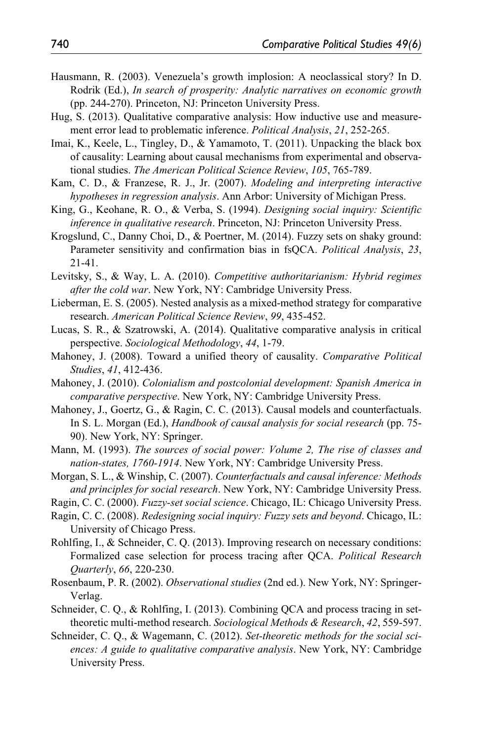- Hausmann, R. (2003). Venezuela's growth implosion: A neoclassical story? In D. Rodrik (Ed.), *In search of prosperity: Analytic narratives on economic growth* (pp. 244-270). Princeton, NJ: Princeton University Press.
- Hug, S. (2013). Qualitative comparative analysis: How inductive use and measurement error lead to problematic inference. *Political Analysis*, *21*, 252-265.
- Imai, K., Keele, L., Tingley, D., & Yamamoto, T. (2011). Unpacking the black box of causality: Learning about causal mechanisms from experimental and observational studies. *The American Political Science Review*, *105*, 765-789.
- Kam, C. D., & Franzese, R. J., Jr. (2007). *Modeling and interpreting interactive hypotheses in regression analysis*. Ann Arbor: University of Michigan Press.
- King, G., Keohane, R. O., & Verba, S. (1994). *Designing social inquiry: Scientific inference in qualitative research*. Princeton, NJ: Princeton University Press.
- Krogslund, C., Danny Choi, D., & Poertner, M. (2014). Fuzzy sets on shaky ground: Parameter sensitivity and confirmation bias in fsQCA. *Political Analysis*, *23*, 21-41.
- Levitsky, S., & Way, L. A. (2010). *Competitive authoritarianism: Hybrid regimes after the cold war*. New York, NY: Cambridge University Press.
- Lieberman, E. S. (2005). Nested analysis as a mixed-method strategy for comparative research. *American Political Science Review*, *99*, 435-452.
- Lucas, S. R., & Szatrowski, A. (2014). Qualitative comparative analysis in critical perspective. *Sociological Methodology*, *44*, 1-79.
- Mahoney, J. (2008). Toward a unified theory of causality. *Comparative Political Studies*, *41*, 412-436.
- Mahoney, J. (2010). *Colonialism and postcolonial development: Spanish America in comparative perspective*. New York, NY: Cambridge University Press.
- Mahoney, J., Goertz, G., & Ragin, C. C. (2013). Causal models and counterfactuals. In S. L. Morgan (Ed.), *Handbook of causal analysis for social research* (pp. 75- 90). New York, NY: Springer.
- Mann, M. (1993). *The sources of social power: Volume 2, The rise of classes and nation-states, 1760-1914*. New York, NY: Cambridge University Press.
- Morgan, S. L., & Winship, C. (2007). *Counterfactuals and causal inference: Methods and principles for social research*. New York, NY: Cambridge University Press.
- Ragin, C. C. (2000). *Fuzzy-set social science*. Chicago, IL: Chicago University Press.
- Ragin, C. C. (2008). *Redesigning social inquiry: Fuzzy sets and beyond*. Chicago, IL: University of Chicago Press.
- Rohlfing, I., & Schneider, C. Q. (2013). Improving research on necessary conditions: Formalized case selection for process tracing after QCA. *Political Research Quarterly*, *66*, 220-230.
- Rosenbaum, P. R. (2002). *Observational studies* (2nd ed.). New York, NY: Springer-Verlag.
- Schneider, C. Q., & Rohlfing, I. (2013). Combining QCA and process tracing in settheoretic multi-method research. *Sociological Methods & Research*, *42*, 559-597.
- Schneider, C. Q., & Wagemann, C. (2012). *Set-theoretic methods for the social sciences: A guide to qualitative comparative analysis*. New York, NY: Cambridge University Press.